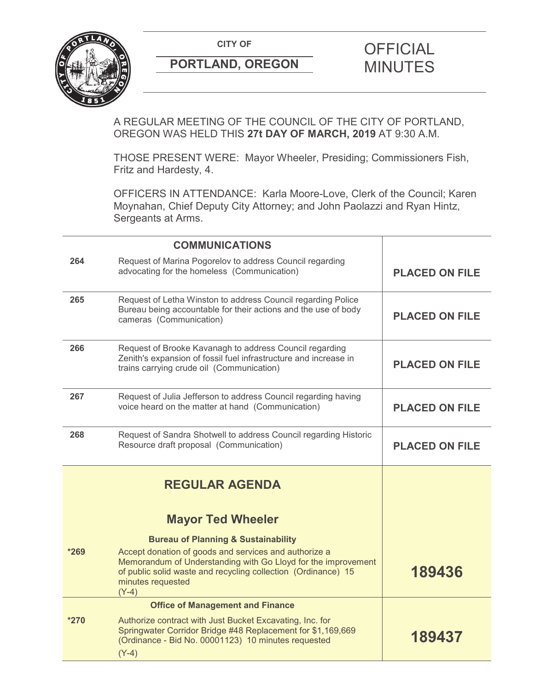

# **PORTLAND, OREGON MINUTES**

# **CITY OF CITY OF PICIAL**

A REGULAR MEETING OF THE COUNCIL OF THE CITY OF PORTLAND, OREGON WAS HELD THIS **27t DAY OF MARCH, 2019** AT 9:30 A.M.

THOSE PRESENT WERE: Mayor Wheeler, Presiding; Commissioners Fish, Fritz and Hardesty, 4.

OFFICERS IN ATTENDANCE: Karla Moore-Love, Clerk of the Council; Karen Moynahan, Chief Deputy City Attorney; and John Paolazzi and Ryan Hintz, Sergeants at Arms.

|        | <b>COMMUNICATIONS</b>                                                                                                                                                                                                   |                       |
|--------|-------------------------------------------------------------------------------------------------------------------------------------------------------------------------------------------------------------------------|-----------------------|
| 264    | Request of Marina Pogorelov to address Council regarding<br>advocating for the homeless (Communication)                                                                                                                 | <b>PLACED ON FILE</b> |
| 265    | Request of Letha Winston to address Council regarding Police<br>Bureau being accountable for their actions and the use of body<br>cameras (Communication)                                                               | <b>PLACED ON FILE</b> |
| 266    | Request of Brooke Kavanagh to address Council regarding<br>Zenith's expansion of fossil fuel infrastructure and increase in<br>trains carrying crude oil (Communication)                                                | <b>PLACED ON FILE</b> |
| 267    | Request of Julia Jefferson to address Council regarding having<br>voice heard on the matter at hand (Communication)                                                                                                     | <b>PLACED ON FILE</b> |
| 268    | Request of Sandra Shotwell to address Council regarding Historic<br>Resource draft proposal (Communication)                                                                                                             | <b>PLACED ON FILE</b> |
|        | <b>REGULAR AGENDA</b>                                                                                                                                                                                                   |                       |
|        | <b>Mayor Ted Wheeler</b>                                                                                                                                                                                                |                       |
|        | <b>Bureau of Planning &amp; Sustainability</b>                                                                                                                                                                          |                       |
| $*269$ | Accept donation of goods and services and authorize a<br>Memorandum of Understanding with Go Lloyd for the improvement<br>of public solid waste and recycling collection (Ordinance) 15<br>minutes requested<br>$(Y-4)$ | 189436                |
|        | <b>Office of Management and Finance</b>                                                                                                                                                                                 |                       |
| $*270$ | Authorize contract with Just Bucket Excavating, Inc. for<br>Springwater Corridor Bridge #48 Replacement for \$1,169,669<br>(Ordinance - Bid No. 00001123) 10 minutes requested<br>$(Y-4)$                               | 189437                |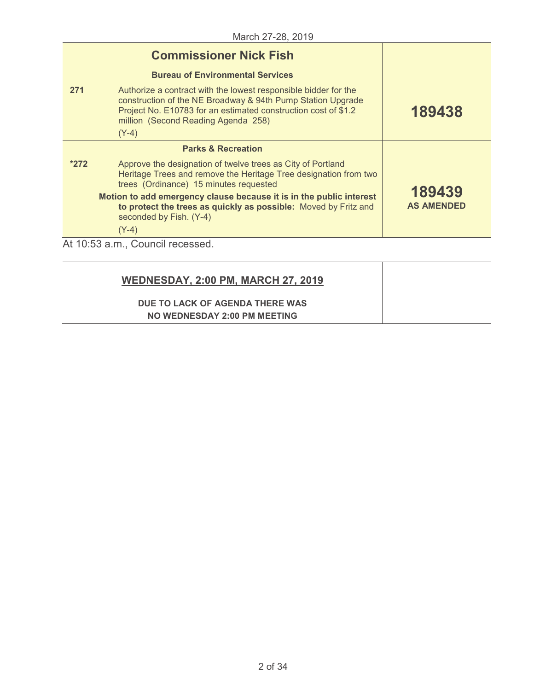|         | <b>Commissioner Nick Fish</b>                                                                                                                                                                                                           |                             |
|---------|-----------------------------------------------------------------------------------------------------------------------------------------------------------------------------------------------------------------------------------------|-----------------------------|
|         | <b>Bureau of Environmental Services</b>                                                                                                                                                                                                 |                             |
| 271     | Authorize a contract with the lowest responsible bidder for the<br>construction of the NE Broadway & 94th Pump Station Upgrade<br>Project No. E10783 for an estimated construction cost of \$1.2<br>million (Second Reading Agenda 258) | 189438                      |
| $(Y-4)$ |                                                                                                                                                                                                                                         |                             |
|         | <b>Parks &amp; Recreation</b>                                                                                                                                                                                                           |                             |
| $*272$  | Approve the designation of twelve trees as City of Portland<br>Heritage Trees and remove the Heritage Tree designation from two<br>trees (Ordinance) 15 minutes requested                                                               |                             |
|         | Motion to add emergency clause because it is in the public interest<br>to protect the trees as quickly as possible: Moved by Fritz and<br>seconded by Fish. (Y-4)                                                                       | 189439<br><b>AS AMENDED</b> |
| $(Y-4)$ |                                                                                                                                                                                                                                         |                             |
|         | At 10:53 a.m., Council recessed.                                                                                                                                                                                                        |                             |

| <b>WEDNESDAY, 2:00 PM, MARCH 27, 2019</b> |  |
|-------------------------------------------|--|
| DUE TO LACK OF AGENDA THERE WAS           |  |
| NO WEDNESDAY 2:00 PM MEETING              |  |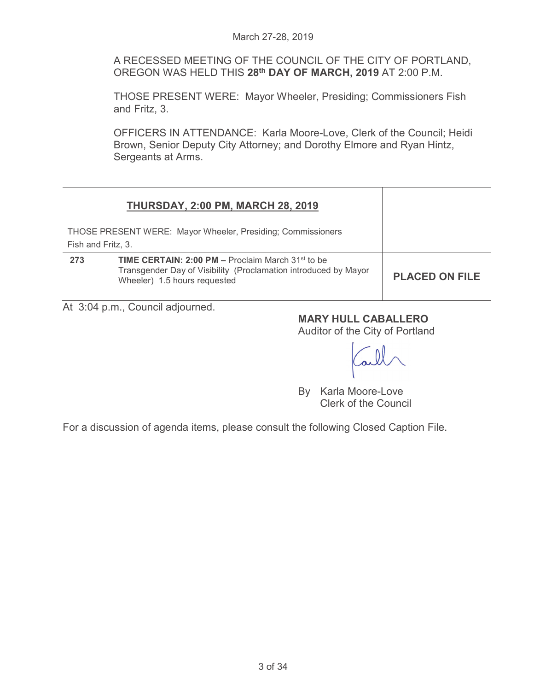A RECESSED MEETING OF THE COUNCIL OF THE CITY OF PORTLAND, OREGON WAS HELD THIS **28th DAY OF MARCH, 2019** AT 2:00 P.M.

THOSE PRESENT WERE: Mayor Wheeler, Presiding; Commissioners Fish and Fritz, 3.

OFFICERS IN ATTENDANCE: Karla Moore-Love, Clerk of the Council; Heidi Brown, Senior Deputy City Attorney; and Dorothy Elmore and Ryan Hintz, Sergeants at Arms.

| <b>THURSDAY, 2:00 PM, MARCH 28, 2019</b>                                                                                                                           |                       |
|--------------------------------------------------------------------------------------------------------------------------------------------------------------------|-----------------------|
| THOSE PRESENT WERE: Mayor Wheeler, Presiding; Commissioners<br>Fish and Fritz, 3.                                                                                  |                       |
| <b>TIME CERTAIN: 2:00 PM – Proclaim March 31st to be</b><br>273<br>Transgender Day of Visibility (Proclamation introduced by Mayor<br>Wheeler) 1.5 hours requested | <b>PLACED ON FILE</b> |

At 3:04 p.m., Council adjourned.

# **MARY HULL CABALLERO**

Auditor of the City of Portland

By Karla Moore-Love Clerk of the Council

For a discussion of agenda items, please consult the following Closed Caption File.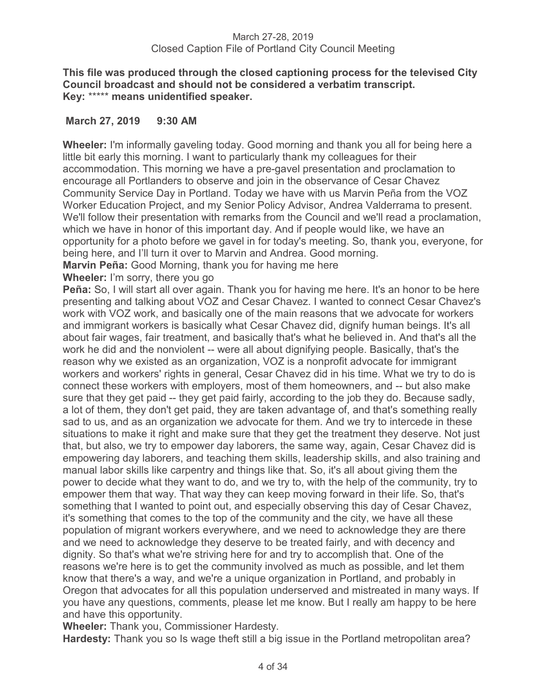# **This file was produced through the closed captioning process for the televised City Council broadcast and should not be considered a verbatim transcript. Key:** \*\*\*\*\* **means unidentified speaker.**

# **March 27, 2019 9:30 AM**

**Wheeler:** I'm informally gaveling today. Good morning and thank you all for being here a little bit early this morning. I want to particularly thank my colleagues for their accommodation. This morning we have a pre-gavel presentation and proclamation to encourage all Portlanders to observe and join in the observance of Cesar Chavez Community Service Day in Portland. Today we have with us Marvin Peña from the VOZ Worker Education Project, and my Senior Policy Advisor, Andrea Valderrama to present. We'll follow their presentation with remarks from the Council and we'll read a proclamation, which we have in honor of this important day. And if people would like, we have an opportunity for a photo before we gavel in for today's meeting. So, thank you, everyone, for being here, and I'll turn it over to Marvin and Andrea. Good morning.

**Marvin Peña:** Good Morning, thank you for having me here

**Wheeler:** I'm sorry, there you go

**Peña:** So, I will start all over again. Thank you for having me here. It's an honor to be here presenting and talking about VOZ and Cesar Chavez. I wanted to connect Cesar Chavez's work with VOZ work, and basically one of the main reasons that we advocate for workers and immigrant workers is basically what Cesar Chavez did, dignify human beings. It's all about fair wages, fair treatment, and basically that's what he believed in. And that's all the work he did and the nonviolent -- were all about dignifying people. Basically, that's the reason why we existed as an organization, VOZ is a nonprofit advocate for immigrant workers and workers' rights in general, Cesar Chavez did in his time. What we try to do is connect these workers with employers, most of them homeowners, and -- but also make sure that they get paid -- they get paid fairly, according to the job they do. Because sadly, a lot of them, they don't get paid, they are taken advantage of, and that's something really sad to us, and as an organization we advocate for them. And we try to intercede in these situations to make it right and make sure that they get the treatment they deserve. Not just that, but also, we try to empower day laborers, the same way, again, Cesar Chavez did is empowering day laborers, and teaching them skills, leadership skills, and also training and manual labor skills like carpentry and things like that. So, it's all about giving them the power to decide what they want to do, and we try to, with the help of the community, try to empower them that way. That way they can keep moving forward in their life. So, that's something that I wanted to point out, and especially observing this day of Cesar Chavez, it's something that comes to the top of the community and the city, we have all these population of migrant workers everywhere, and we need to acknowledge they are there and we need to acknowledge they deserve to be treated fairly, and with decency and dignity. So that's what we're striving here for and try to accomplish that. One of the reasons we're here is to get the community involved as much as possible, and let them know that there's a way, and we're a unique organization in Portland, and probably in Oregon that advocates for all this population underserved and mistreated in many ways. If you have any questions, comments, please let me know. But I really am happy to be here and have this opportunity.

**Wheeler:** Thank you, Commissioner Hardesty.

**Hardesty:** Thank you so Is wage theft still a big issue in the Portland metropolitan area?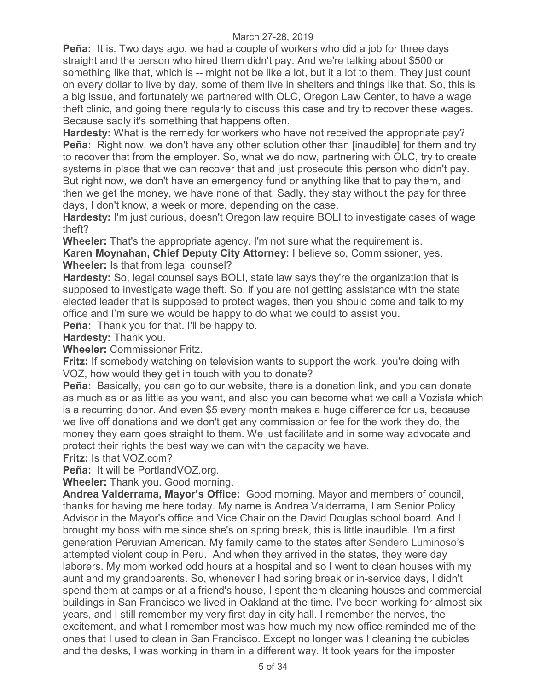**Peña:** It is. Two days ago, we had a couple of workers who did a job for three days straight and the person who hired them didn't pay. And we're talking about \$500 or something like that, which is -- might not be like a lot, but it a lot to them. They just count on every dollar to live by day, some of them live in shelters and things like that. So, this is a big issue, and fortunately we partnered with OLC, Oregon Law Center, to have a wage theft clinic, and going there regularly to discuss this case and try to recover these wages. Because sadly it's something that happens often.

**Hardesty:** What is the remedy for workers who have not received the appropriate pay? **Peña:** Right now, we don't have any other solution other than [inaudible] for them and try to recover that from the employer. So, what we do now, partnering with OLC, try to create systems in place that we can recover that and just prosecute this person who didn't pay. But right now, we don't have an emergency fund or anything like that to pay them, and then we get the money, we have none of that. Sadly, they stay without the pay for three days, I don't know, a week or more, depending on the case.

**Hardesty:** I'm just curious, doesn't Oregon law require BOLI to investigate cases of wage theft?

**Wheeler:** That's the appropriate agency. I'm not sure what the requirement is.

**Karen Moynahan, Chief Deputy City Attorney:** I believe so, Commissioner, yes. **Wheeler:** Is that from legal counsel?

**Hardesty:** So, legal counsel says BOLI, state law says they're the organization that is supposed to investigate wage theft. So, if you are not getting assistance with the state elected leader that is supposed to protect wages, then you should come and talk to my office and I'm sure we would be happy to do what we could to assist you.

**Peña:** Thank you for that. I'll be happy to.

**Hardesty:** Thank you.

**Wheeler:** Commissioner Fritz.

**Fritz:** If somebody watching on television wants to support the work, you're doing with VOZ, how would they get in touch with you to donate?

**Peña:** Basically, you can go to our website, there is a donation link, and you can donate as much as or as little as you want, and also you can become what we call a Vozista which is a recurring donor. And even \$5 every month makes a huge difference for us, because we live off donations and we don't get any commission or fee for the work they do, the money they earn goes straight to them. We just facilitate and in some way advocate and protect their rights the best way we can with the capacity we have.

**Fritz:** Is that VOZ.com?

**Peña:** It will be PortlandVOZ.org.

**Wheeler:** Thank you. Good morning.

**Andrea Valderrama, Mayor's Office:** Good morning. Mayor and members of council, thanks for having me here today. My name is Andrea Valderrama, I am Senior Policy Advisor in the Mayor's office and Vice Chair on the David Douglas school board. And I brought my boss with me since she's on spring break, this is little inaudible. I'm a first generation Peruvian American. My family came to the states after Sendero Luminoso's attempted violent coup in Peru. And when they arrived in the states, they were day laborers. My mom worked odd hours at a hospital and so I went to clean houses with my aunt and my grandparents. So, whenever I had spring break or in-service days, I didn't spend them at camps or at a friend's house, I spent them cleaning houses and commercial buildings in San Francisco we lived in Oakland at the time. I've been working for almost six years, and I still remember my very first day in city hall. I remember the nerves, the excitement, and what I remember most was how much my new office reminded me of the ones that I used to clean in San Francisco. Except no longer was I cleaning the cubicles and the desks, I was working in them in a different way. It took years for the imposter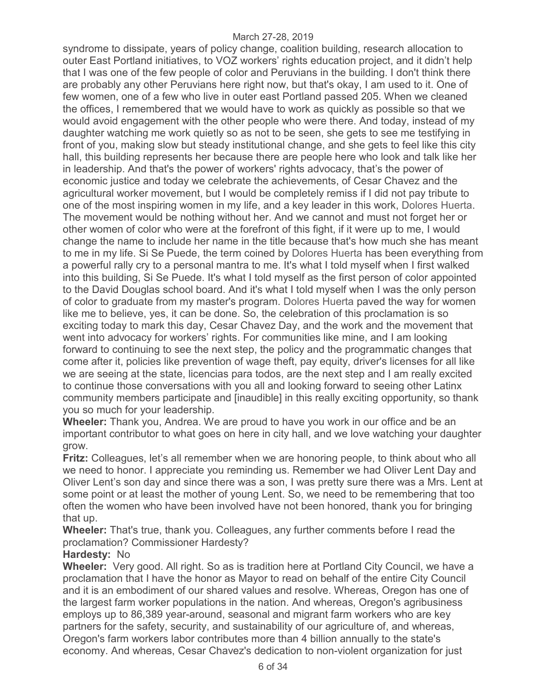syndrome to dissipate, years of policy change, coalition building, research allocation to outer East Portland initiatives, to VOZ workers' rights education project, and it didn't help that I was one of the few people of color and Peruvians in the building. I don't think there are probably any other Peruvians here right now, but that's okay, I am used to it. One of few women, one of a few who live in outer east Portland passed 205. When we cleaned the offices, I remembered that we would have to work as quickly as possible so that we would avoid engagement with the other people who were there. And today, instead of my daughter watching me work quietly so as not to be seen, she gets to see me testifying in front of you, making slow but steady institutional change, and she gets to feel like this city hall, this building represents her because there are people here who look and talk like her in leadership. And that's the power of workers' rights advocacy, that's the power of economic justice and today we celebrate the achievements, of Cesar Chavez and the agricultural worker movement, but I would be completely remiss if I did not pay tribute to one of the most inspiring women in my life, and a key leader in this work, Dolores Huerta. The movement would be nothing without her. And we cannot and must not forget her or other women of color who were at the forefront of this fight, if it were up to me, I would change the name to include her name in the title because that's how much she has meant to me in my life. Si Se Puede, the term coined by Dolores Huerta has been everything from a powerful rally cry to a personal mantra to me. It's what I told myself when I first walked into this building, Si Se Puede. It's what I told myself as the first person of color appointed to the David Douglas school board. And it's what I told myself when I was the only person of color to graduate from my master's program. Dolores Huerta paved the way for women like me to believe, yes, it can be done. So, the celebration of this proclamation is so exciting today to mark this day, Cesar Chavez Day, and the work and the movement that went into advocacy for workers' rights. For communities like mine, and I am looking forward to continuing to see the next step, the policy and the programmatic changes that come after it, policies like prevention of wage theft, pay equity, driver's licenses for all like we are seeing at the state, licencias para todos, are the next step and I am really excited to continue those conversations with you all and looking forward to seeing other Latinx community members participate and [inaudible] in this really exciting opportunity, so thank you so much for your leadership.

**Wheeler:** Thank you, Andrea. We are proud to have you work in our office and be an important contributor to what goes on here in city hall, and we love watching your daughter grow.

**Fritz:** Colleagues, let's all remember when we are honoring people, to think about who all we need to honor. I appreciate you reminding us. Remember we had Oliver Lent Day and Oliver Lent's son day and since there was a son, I was pretty sure there was a Mrs. Lent at some point or at least the mother of young Lent. So, we need to be remembering that too often the women who have been involved have not been honored, thank you for bringing that up.

**Wheeler:** That's true, thank you. Colleagues, any further comments before I read the proclamation? Commissioner Hardesty?

# **Hardesty:** No

**Wheeler:** Very good. All right. So as is tradition here at Portland City Council, we have a proclamation that I have the honor as Mayor to read on behalf of the entire City Council and it is an embodiment of our shared values and resolve. Whereas, Oregon has one of the largest farm worker populations in the nation. And whereas, Oregon's agribusiness employs up to 86,389 year-around, seasonal and migrant farm workers who are key partners for the safety, security, and sustainability of our agriculture of, and whereas, Oregon's farm workers labor contributes more than 4 billion annually to the state's economy. And whereas, Cesar Chavez's dedication to non-violent organization for just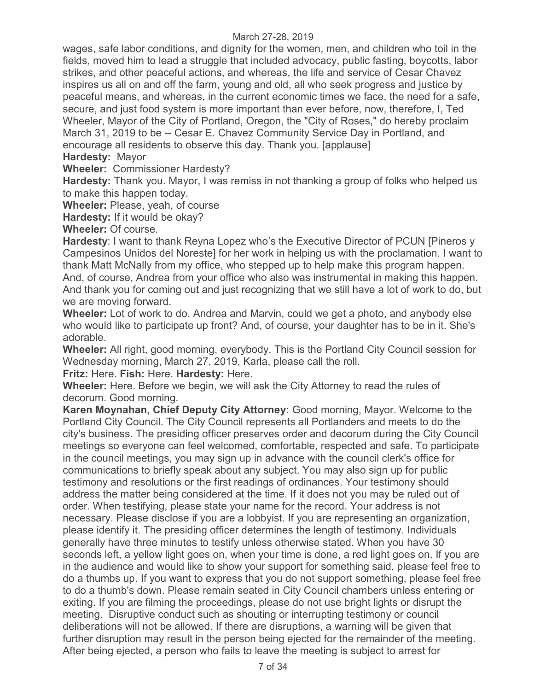wages, safe labor conditions, and dignity for the women, men, and children who toil in the fields, moved him to lead a struggle that included advocacy, public fasting, boycotts, labor strikes, and other peaceful actions, and whereas, the life and service of Cesar Chavez inspires us all on and off the farm, young and old, all who seek progress and justice by peaceful means, and whereas, in the current economic times we face, the need for a safe, secure, and just food system is more important than ever before, now, therefore, I, Ted Wheeler, Mayor of the City of Portland, Oregon, the "City of Roses," do hereby proclaim March 31, 2019 to be -- Cesar E. Chavez Community Service Day in Portland, and encourage all residents to observe this day. Thank you. [applause]

**Hardesty:** Mayor

**Wheeler:** Commissioner Hardesty?

**Hardesty:** Thank you. Mayor, I was remiss in not thanking a group of folks who helped us to make this happen today.

**Wheeler:** Please, yeah, of course

**Hardesty:** If it would be okay?

**Wheeler:** Of course.

**Hardesty**: I want to thank Reyna Lopez who's the Executive Director of PCUN [Pineros y Campesinos Unidos del Noreste] for her work in helping us with the proclamation. I want to thank Matt McNally from my office, who stepped up to help make this program happen. And, of course, Andrea from your office who also was instrumental in making this happen. And thank you for coming out and just recognizing that we still have a lot of work to do, but we are moving forward.

**Wheeler:** Lot of work to do. Andrea and Marvin, could we get a photo, and anybody else who would like to participate up front? And, of course, your daughter has to be in it. She's adorable.

**Wheeler:** All right, good morning, everybody. This is the Portland City Council session for Wednesday morning, March 27, 2019, Karla, please call the roll.

**Fritz:** Here. **Fish:** Here. **Hardesty:** Here.

**Wheeler:** Here. Before we begin, we will ask the City Attorney to read the rules of decorum. Good morning.

**Karen Moynahan, Chief Deputy City Attorney:** Good morning, Mayor. Welcome to the Portland City Council. The City Council represents all Portlanders and meets to do the city's business. The presiding officer preserves order and decorum during the City Council meetings so everyone can feel welcomed, comfortable, respected and safe. To participate in the council meetings, you may sign up in advance with the council clerk's office for communications to briefly speak about any subject. You may also sign up for public testimony and resolutions or the first readings of ordinances. Your testimony should address the matter being considered at the time. If it does not you may be ruled out of order. When testifying, please state your name for the record. Your address is not necessary. Please disclose if you are a lobbyist. If you are representing an organization, please identify it. The presiding officer determines the length of testimony. Individuals generally have three minutes to testify unless otherwise stated. When you have 30 seconds left, a yellow light goes on, when your time is done, a red light goes on. If you are in the audience and would like to show your support for something said, please feel free to do a thumbs up. If you want to express that you do not support something, please feel free to do a thumb's down. Please remain seated in City Council chambers unless entering or exiting. If you are filming the proceedings, please do not use bright lights or disrupt the meeting. Disruptive conduct such as shouting or interrupting testimony or council deliberations will not be allowed. If there are disruptions, a warning will be given that further disruption may result in the person being ejected for the remainder of the meeting. After being ejected, a person who fails to leave the meeting is subject to arrest for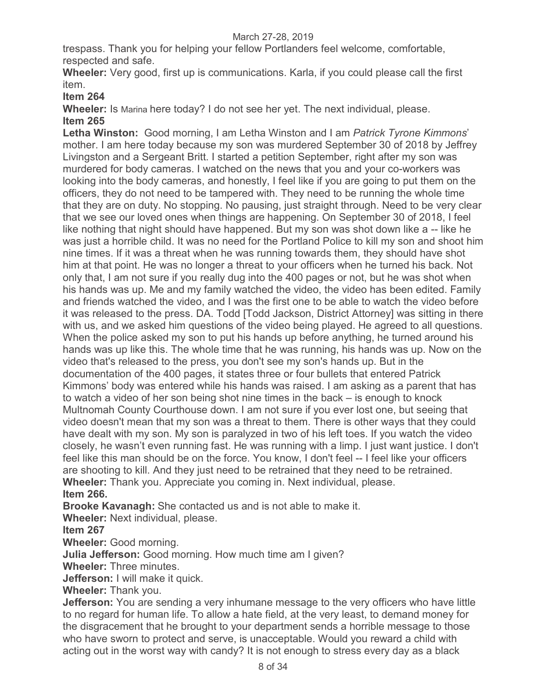trespass. Thank you for helping your fellow Portlanders feel welcome, comfortable, respected and safe.

**Wheeler:** Very good, first up is communications. Karla, if you could please call the first item.

**Item 264** 

**Wheeler:** Is Marina here today? I do not see her yet. The next individual, please. **Item 265** 

**Letha Winston:** Good morning, I am Letha Winston and I am *Patrick Tyrone Kimmons*' mother. I am here today because my son was murdered September 30 of 2018 by Jeffrey Livingston and a Sergeant Britt. I started a petition September, right after my son was murdered for body cameras. I watched on the news that you and your co-workers was looking into the body cameras, and honestly, I feel like if you are going to put them on the officers, they do not need to be tampered with. They need to be running the whole time that they are on duty. No stopping. No pausing, just straight through. Need to be very clear that we see our loved ones when things are happening. On September 30 of 2018, I feel like nothing that night should have happened. But my son was shot down like a -- like he was just a horrible child. It was no need for the Portland Police to kill my son and shoot him nine times. If it was a threat when he was running towards them, they should have shot him at that point. He was no longer a threat to your officers when he turned his back. Not only that, I am not sure if you really dug into the 400 pages or not, but he was shot when his hands was up. Me and my family watched the video, the video has been edited. Family and friends watched the video, and I was the first one to be able to watch the video before it was released to the press. DA. Todd [Todd Jackson, District Attorney] was sitting in there with us, and we asked him questions of the video being played. He agreed to all questions. When the police asked my son to put his hands up before anything, he turned around his hands was up like this. The whole time that he was running, his hands was up. Now on the video that's released to the press, you don't see my son's hands up. But in the documentation of the 400 pages, it states three or four bullets that entered Patrick Kimmons' body was entered while his hands was raised. I am asking as a parent that has to watch a video of her son being shot nine times in the back – is enough to knock Multnomah County Courthouse down. I am not sure if you ever lost one, but seeing that video doesn't mean that my son was a threat to them. There is other ways that they could have dealt with my son. My son is paralyzed in two of his left toes. If you watch the video closely, he wasn't even running fast. He was running with a limp. I just want justice. I don't feel like this man should be on the force. You know, I don't feel -- I feel like your officers are shooting to kill. And they just need to be retrained that they need to be retrained. **Wheeler:** Thank you. Appreciate you coming in. Next individual, please. **Item 266.** 

**Brooke Kavanagh:** She contacted us and is not able to make it.

**Wheeler:** Next individual, please.

**Item 267** 

**Wheeler:** Good morning.

**Julia Jefferson:** Good morning. How much time am I given?

**Wheeler:** Three minutes.

**Jefferson:** I will make it quick.

**Wheeler:** Thank you.

**Jefferson:** You are sending a very inhumane message to the very officers who have little to no regard for human life. To allow a hate field, at the very least, to demand money for the disgracement that he brought to your department sends a horrible message to those who have sworn to protect and serve, is unacceptable. Would you reward a child with acting out in the worst way with candy? It is not enough to stress every day as a black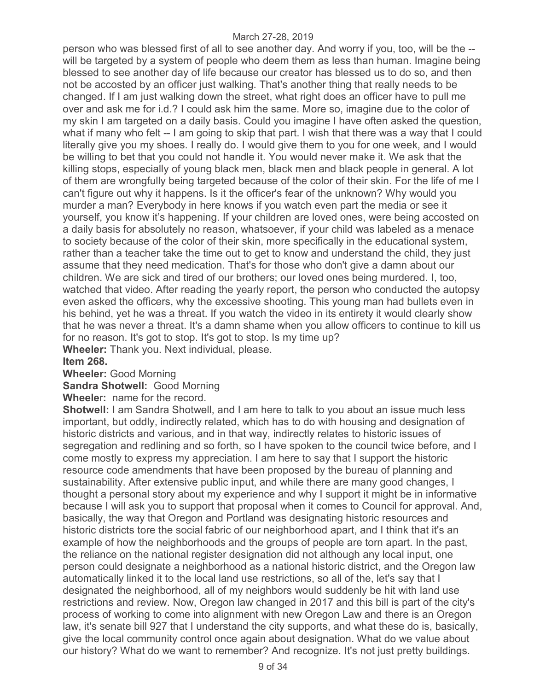person who was blessed first of all to see another day. And worry if you, too, will be the - will be targeted by a system of people who deem them as less than human. Imagine being blessed to see another day of life because our creator has blessed us to do so, and then not be accosted by an officer just walking. That's another thing that really needs to be changed. If I am just walking down the street, what right does an officer have to pull me over and ask me for i.d.? I could ask him the same. More so, imagine due to the color of my skin I am targeted on a daily basis. Could you imagine I have often asked the question, what if many who felt -- I am going to skip that part. I wish that there was a way that I could literally give you my shoes. I really do. I would give them to you for one week, and I would be willing to bet that you could not handle it. You would never make it. We ask that the killing stops, especially of young black men, black men and black people in general. A lot of them are wrongfully being targeted because of the color of their skin. For the life of me I can't figure out why it happens. Is it the officer's fear of the unknown? Why would you murder a man? Everybody in here knows if you watch even part the media or see it yourself, you know it's happening. If your children are loved ones, were being accosted on a daily basis for absolutely no reason, whatsoever, if your child was labeled as a menace to society because of the color of their skin, more specifically in the educational system, rather than a teacher take the time out to get to know and understand the child, they just assume that they need medication. That's for those who don't give a damn about our children. We are sick and tired of our brothers; our loved ones being murdered. I, too, watched that video. After reading the yearly report, the person who conducted the autopsy even asked the officers, why the excessive shooting. This young man had bullets even in his behind, yet he was a threat. If you watch the video in its entirety it would clearly show that he was never a threat. It's a damn shame when you allow officers to continue to kill us for no reason. It's got to stop. It's got to stop. Is my time up? **Wheeler:** Thank you. Next individual, please.

**Item 268.** 

**Wheeler:** Good Morning

**Sandra Shotwell:** Good Morning

**Wheele**r**:** name for the record.

**Shotwell:** I am Sandra Shotwell, and I am here to talk to you about an issue much less important, but oddly, indirectly related, which has to do with housing and designation of historic districts and various, and in that way, indirectly relates to historic issues of segregation and redlining and so forth, so I have spoken to the council twice before, and I come mostly to express my appreciation. I am here to say that I support the historic resource code amendments that have been proposed by the bureau of planning and sustainability. After extensive public input, and while there are many good changes, I thought a personal story about my experience and why I support it might be in informative because I will ask you to support that proposal when it comes to Council for approval. And, basically, the way that Oregon and Portland was designating historic resources and historic districts tore the social fabric of our neighborhood apart, and I think that it's an example of how the neighborhoods and the groups of people are torn apart. In the past, the reliance on the national register designation did not although any local input, one person could designate a neighborhood as a national historic district, and the Oregon law automatically linked it to the local land use restrictions, so all of the, let's say that I designated the neighborhood, all of my neighbors would suddenly be hit with land use restrictions and review. Now, Oregon law changed in 2017 and this bill is part of the city's process of working to come into alignment with new Oregon Law and there is an Oregon law, it's senate bill 927 that I understand the city supports, and what these do is, basically, give the local community control once again about designation. What do we value about our history? What do we want to remember? And recognize. It's not just pretty buildings.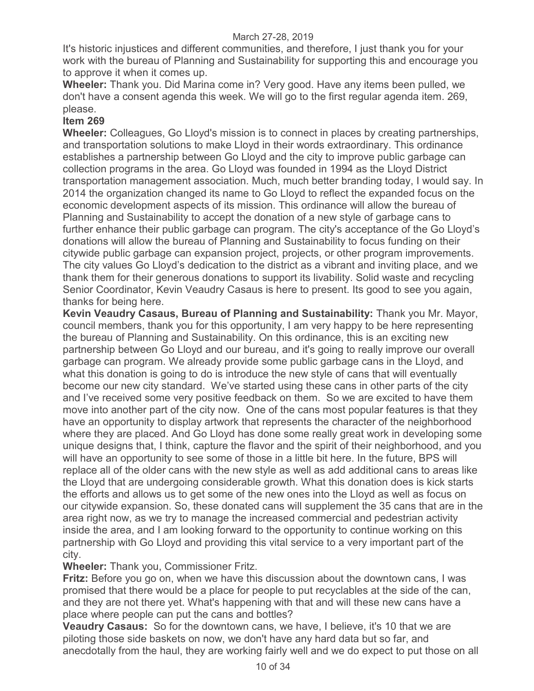It's historic injustices and different communities, and therefore, I just thank you for your work with the bureau of Planning and Sustainability for supporting this and encourage you to approve it when it comes up.

**Wheeler:** Thank you. Did Marina come in? Very good. Have any items been pulled, we don't have a consent agenda this week. We will go to the first regular agenda item. 269, please.

# **Item 269**

**Wheeler:** Colleagues, Go Lloyd's mission is to connect in places by creating partnerships, and transportation solutions to make Lloyd in their words extraordinary. This ordinance establishes a partnership between Go Lloyd and the city to improve public garbage can collection programs in the area. Go Lloyd was founded in 1994 as the Lloyd District transportation management association. Much, much better branding today, I would say. In 2014 the organization changed its name to Go Lloyd to reflect the expanded focus on the economic development aspects of its mission. This ordinance will allow the bureau of Planning and Sustainability to accept the donation of a new style of garbage cans to further enhance their public garbage can program. The city's acceptance of the Go Lloyd's donations will allow the bureau of Planning and Sustainability to focus funding on their citywide public garbage can expansion project, projects, or other program improvements. The city values Go Lloyd's dedication to the district as a vibrant and inviting place, and we thank them for their generous donations to support its livability. Solid waste and recycling Senior Coordinator, Kevin Veaudry Casaus is here to present. Its good to see you again, thanks for being here.

**Kevin Veaudry Casaus, Bureau of Planning and Sustainability:** Thank you Mr. Mayor, council members, thank you for this opportunity, I am very happy to be here representing the bureau of Planning and Sustainability. On this ordinance, this is an exciting new partnership between Go Lloyd and our bureau, and it's going to really improve our overall garbage can program. We already provide some public garbage cans in the Lloyd, and what this donation is going to do is introduce the new style of cans that will eventually become our new city standard. We've started using these cans in other parts of the city and I've received some very positive feedback on them. So we are excited to have them move into another part of the city now. One of the cans most popular features is that they have an opportunity to display artwork that represents the character of the neighborhood where they are placed. And Go Lloyd has done some really great work in developing some unique designs that, I think, capture the flavor and the spirit of their neighborhood, and you will have an opportunity to see some of those in a little bit here. In the future, BPS will replace all of the older cans with the new style as well as add additional cans to areas like the Lloyd that are undergoing considerable growth. What this donation does is kick starts the efforts and allows us to get some of the new ones into the Lloyd as well as focus on our citywide expansion. So, these donated cans will supplement the 35 cans that are in the area right now, as we try to manage the increased commercial and pedestrian activity inside the area, and I am looking forward to the opportunity to continue working on this partnership with Go Lloyd and providing this vital service to a very important part of the city.

**Wheeler:** Thank you, Commissioner Fritz.

**Fritz:** Before you go on, when we have this discussion about the downtown cans, I was promised that there would be a place for people to put recyclables at the side of the can, and they are not there yet. What's happening with that and will these new cans have a place where people can put the cans and bottles?

**Veaudry Casaus:** So for the downtown cans, we have, I believe, it's 10 that we are piloting those side baskets on now, we don't have any hard data but so far, and anecdotally from the haul, they are working fairly well and we do expect to put those on all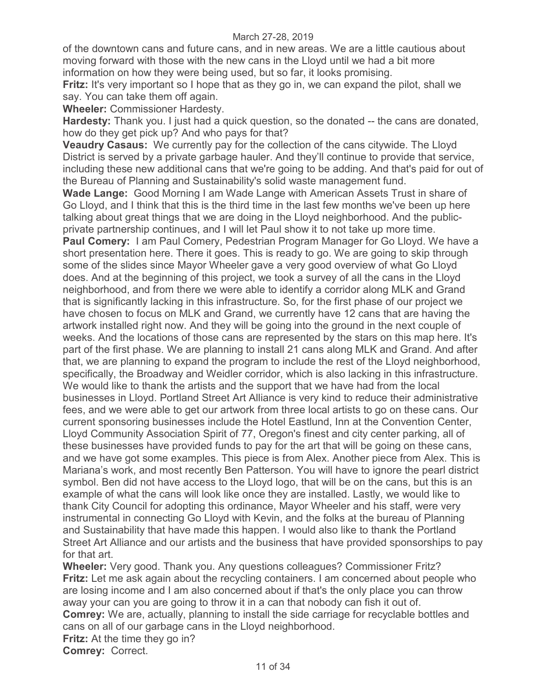of the downtown cans and future cans, and in new areas. We are a little cautious about moving forward with those with the new cans in the Lloyd until we had a bit more information on how they were being used, but so far, it looks promising.

**Fritz:** It's very important so I hope that as they go in, we can expand the pilot, shall we say. You can take them off again.

**Wheeler:** Commissioner Hardesty.

**Hardesty:** Thank you. I just had a quick question, so the donated -- the cans are donated, how do they get pick up? And who pays for that?

**Veaudry Casaus:** We currently pay for the collection of the cans citywide. The Lloyd District is served by a private garbage hauler. And they'll continue to provide that service, including these new additional cans that we're going to be adding. And that's paid for out of the Bureau of Planning and Sustainability's solid waste management fund.

**Wade Lange:** Good Morning I am Wade Lange with American Assets Trust in share of Go Lloyd, and I think that this is the third time in the last few months we've been up here talking about great things that we are doing in the Lloyd neighborhood. And the publicprivate partnership continues, and I will let Paul show it to not take up more time.

**Paul Comery:** I am Paul Comery, Pedestrian Program Manager for Go Lloyd. We have a short presentation here. There it goes. This is ready to go. We are going to skip through some of the slides since Mayor Wheeler gave a very good overview of what Go Lloyd does. And at the beginning of this project, we took a survey of all the cans in the Lloyd neighborhood, and from there we were able to identify a corridor along MLK and Grand that is significantly lacking in this infrastructure. So, for the first phase of our project we have chosen to focus on MLK and Grand, we currently have 12 cans that are having the artwork installed right now. And they will be going into the ground in the next couple of weeks. And the locations of those cans are represented by the stars on this map here. It's part of the first phase. We are planning to install 21 cans along MLK and Grand. And after that, we are planning to expand the program to include the rest of the Lloyd neighborhood, specifically, the Broadway and Weidler corridor, which is also lacking in this infrastructure. We would like to thank the artists and the support that we have had from the local businesses in Lloyd. Portland Street Art Alliance is very kind to reduce their administrative fees, and we were able to get our artwork from three local artists to go on these cans. Our current sponsoring businesses include the Hotel Eastlund, Inn at the Convention Center, Lloyd Community Association Spirit of 77, Oregon's finest and city center parking, all of these businesses have provided funds to pay for the art that will be going on these cans, and we have got some examples. This piece is from Alex. Another piece from Alex. This is Mariana's work, and most recently Ben Patterson. You will have to ignore the pearl district symbol. Ben did not have access to the Lloyd logo, that will be on the cans, but this is an example of what the cans will look like once they are installed. Lastly, we would like to thank City Council for adopting this ordinance, Mayor Wheeler and his staff, were very instrumental in connecting Go Lloyd with Kevin, and the folks at the bureau of Planning and Sustainability that have made this happen. I would also like to thank the Portland Street Art Alliance and our artists and the business that have provided sponsorships to pay for that art.

**Wheeler:** Very good. Thank you. Any questions colleagues? Commissioner Fritz? **Fritz:** Let me ask again about the recycling containers. I am concerned about people who are losing income and I am also concerned about if that's the only place you can throw away your can you are going to throw it in a can that nobody can fish it out of. **Comrey:** We are, actually, planning to install the side carriage for recyclable bottles and cans on all of our garbage cans in the Lloyd neighborhood. **Fritz:** At the time they go in?

**Comrey:** Correct.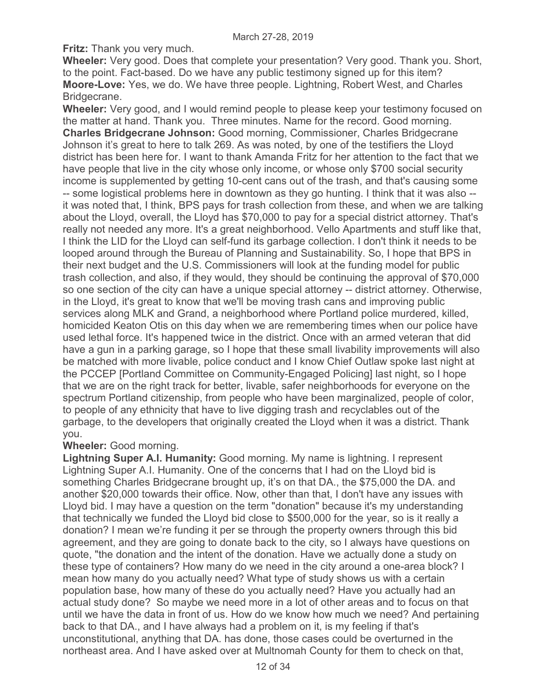**Fritz:** Thank you very much.

**Wheeler:** Very good. Does that complete your presentation? Very good. Thank you. Short, to the point. Fact-based. Do we have any public testimony signed up for this item? **Moore-Love:** Yes, we do. We have three people. Lightning, Robert West, and Charles Bridgecrane.

**Wheeler:** Very good, and I would remind people to please keep your testimony focused on the matter at hand. Thank you. Three minutes. Name for the record. Good morning. **Charles Bridgecrane Johnson:** Good morning, Commissioner, Charles Bridgecrane Johnson it's great to here to talk 269. As was noted, by one of the testifiers the Lloyd district has been here for. I want to thank Amanda Fritz for her attention to the fact that we have people that live in the city whose only income, or whose only \$700 social security income is supplemented by getting 10-cent cans out of the trash, and that's causing some -- some logistical problems here in downtown as they go hunting. I think that it was also - it was noted that, I think, BPS pays for trash collection from these, and when we are talking about the Lloyd, overall, the Lloyd has \$70,000 to pay for a special district attorney. That's really not needed any more. It's a great neighborhood. Vello Apartments and stuff like that, I think the LID for the Lloyd can self-fund its garbage collection. I don't think it needs to be looped around through the Bureau of Planning and Sustainability. So, I hope that BPS in their next budget and the U.S. Commissioners will look at the funding model for public trash collection, and also, if they would, they should be continuing the approval of \$70,000 so one section of the city can have a unique special attorney -- district attorney. Otherwise, in the Lloyd, it's great to know that we'll be moving trash cans and improving public services along MLK and Grand, a neighborhood where Portland police murdered, killed, homicided Keaton Otis on this day when we are remembering times when our police have used lethal force. It's happened twice in the district. Once with an armed veteran that did have a gun in a parking garage, so I hope that these small livability improvements will also be matched with more livable, police conduct and I know Chief Outlaw spoke last night at the PCCEP [Portland Committee on Community-Engaged Policing] last night, so I hope that we are on the right track for better, livable, safer neighborhoods for everyone on the spectrum Portland citizenship, from people who have been marginalized, people of color, to people of any ethnicity that have to live digging trash and recyclables out of the garbage, to the developers that originally created the Lloyd when it was a district. Thank you.

#### **Wheeler:** Good morning.

**Lightning Super A.I. Humanity:** Good morning. My name is lightning. I represent Lightning Super A.I. Humanity. One of the concerns that I had on the Lloyd bid is something Charles Bridgecrane brought up, it's on that DA., the \$75,000 the DA. and another \$20,000 towards their office. Now, other than that, I don't have any issues with Lloyd bid. I may have a question on the term "donation" because it's my understanding that technically we funded the Lloyd bid close to \$500,000 for the year, so is it really a donation? I mean we're funding it per se through the property owners through this bid agreement, and they are going to donate back to the city, so I always have questions on quote, "the donation and the intent of the donation. Have we actually done a study on these type of containers? How many do we need in the city around a one-area block? I mean how many do you actually need? What type of study shows us with a certain population base, how many of these do you actually need? Have you actually had an actual study done? So maybe we need more in a lot of other areas and to focus on that until we have the data in front of us. How do we know how much we need? And pertaining back to that DA., and I have always had a problem on it, is my feeling if that's unconstitutional, anything that DA. has done, those cases could be overturned in the northeast area. And I have asked over at Multnomah County for them to check on that,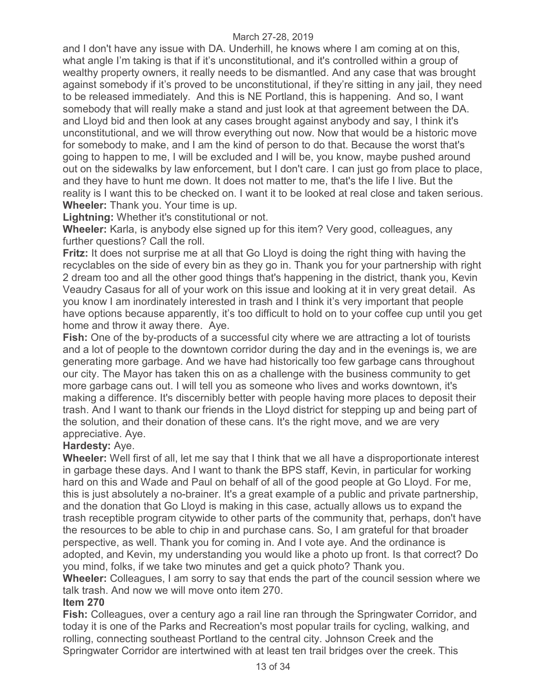and I don't have any issue with DA. Underhill, he knows where I am coming at on this, what angle I'm taking is that if it's unconstitutional, and it's controlled within a group of wealthy property owners, it really needs to be dismantled. And any case that was brought against somebody if it's proved to be unconstitutional, if they're sitting in any jail, they need to be released immediately. And this is NE Portland, this is happening. And so, I want somebody that will really make a stand and just look at that agreement between the DA. and Lloyd bid and then look at any cases brought against anybody and say, I think it's unconstitutional, and we will throw everything out now. Now that would be a historic move for somebody to make, and I am the kind of person to do that. Because the worst that's going to happen to me, I will be excluded and I will be, you know, maybe pushed around out on the sidewalks by law enforcement, but I don't care. I can just go from place to place, and they have to hunt me down. It does not matter to me, that's the life I live. But the reality is I want this to be checked on. I want it to be looked at real close and taken serious. **Wheeler:** Thank you. Your time is up.

**Lightning:** Whether it's constitutional or not.

**Wheeler:** Karla, is anybody else signed up for this item? Very good, colleagues, any further questions? Call the roll.

**Fritz:** It does not surprise me at all that Go Lloyd is doing the right thing with having the recyclables on the side of every bin as they go in. Thank you for your partnership with right 2 dream too and all the other good things that's happening in the district, thank you, Kevin Veaudry Casaus for all of your work on this issue and looking at it in very great detail. As you know I am inordinately interested in trash and I think it's very important that people have options because apparently, it's too difficult to hold on to your coffee cup until you get home and throw it away there. Aye.

**Fish:** One of the by-products of a successful city where we are attracting a lot of tourists and a lot of people to the downtown corridor during the day and in the evenings is, we are generating more garbage. And we have had historically too few garbage cans throughout our city. The Mayor has taken this on as a challenge with the business community to get more garbage cans out. I will tell you as someone who lives and works downtown, it's making a difference. It's discernibly better with people having more places to deposit their trash. And I want to thank our friends in the Lloyd district for stepping up and being part of the solution, and their donation of these cans. It's the right move, and we are very appreciative. Aye.

# **Hardesty:** Aye.

**Wheeler:** Well first of all, let me say that I think that we all have a disproportionate interest in garbage these days. And I want to thank the BPS staff, Kevin, in particular for working hard on this and Wade and Paul on behalf of all of the good people at Go Lloyd. For me, this is just absolutely a no-brainer. It's a great example of a public and private partnership, and the donation that Go Lloyd is making in this case, actually allows us to expand the trash receptible program citywide to other parts of the community that, perhaps, don't have the resources to be able to chip in and purchase cans. So, I am grateful for that broader perspective, as well. Thank you for coming in. And I vote aye. And the ordinance is adopted, and Kevin, my understanding you would like a photo up front. Is that correct? Do you mind, folks, if we take two minutes and get a quick photo? Thank you.

**Wheeler:** Colleagues, I am sorry to say that ends the part of the council session where we talk trash. And now we will move onto item 270.

# **Item 270**

**Fish:** Colleagues, over a century ago a rail line ran through the Springwater Corridor, and today it is one of the Parks and Recreation's most popular trails for cycling, walking, and rolling, connecting southeast Portland to the central city. Johnson Creek and the Springwater Corridor are intertwined with at least ten trail bridges over the creek. This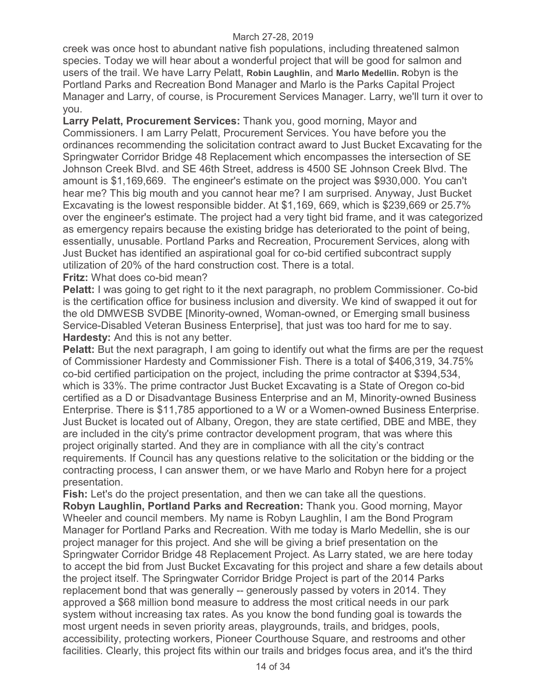creek was once host to abundant native fish populations, including threatened salmon species. Today we will hear about a wonderful project that will be good for salmon and users of the trail. We have Larry Pelatt, **Robin Laughlin**, and **Marlo Medellin. R**obyn is the Portland Parks and Recreation Bond Manager and Marlo is the Parks Capital Project Manager and Larry, of course, is Procurement Services Manager. Larry, we'll turn it over to you.

**Larry Pelatt, Procurement Services:** Thank you, good morning, Mayor and Commissioners. I am Larry Pelatt, Procurement Services. You have before you the ordinances recommending the solicitation contract award to Just Bucket Excavating for the Springwater Corridor Bridge 48 Replacement which encompasses the intersection of SE Johnson Creek Blvd. and SE 46th Street, address is 4500 SE Johnson Creek Blvd. The amount is \$1,169,669. The engineer's estimate on the project was \$930,000. You can't hear me? This big mouth and you cannot hear me? I am surprised. Anyway, Just Bucket Excavating is the lowest responsible bidder. At \$1,169, 669, which is \$239,669 or 25.7% over the engineer's estimate. The project had a very tight bid frame, and it was categorized as emergency repairs because the existing bridge has deteriorated to the point of being, essentially, unusable. Portland Parks and Recreation, Procurement Services, along with Just Bucket has identified an aspirational goal for co-bid certified subcontract supply utilization of 20% of the hard construction cost. There is a total.

## **Fritz:** What does co-bid mean?

**Pelatt:** I was going to get right to it the next paragraph, no problem Commissioner. Co-bid is the certification office for business inclusion and diversity. We kind of swapped it out for the old DMWESB SVDBE [Minority-owned, Woman-owned, or Emerging small business Service-Disabled Veteran Business Enterprise], that just was too hard for me to say. **Hardesty:** And this is not any better.

**Pelatt:** But the next paragraph, I am going to identify out what the firms are per the request of Commissioner Hardesty and Commissioner Fish. There is a total of \$406,319, 34.75% co-bid certified participation on the project, including the prime contractor at \$394,534, which is 33%. The prime contractor Just Bucket Excavating is a State of Oregon co-bid certified as a D or Disadvantage Business Enterprise and an M, Minority-owned Business Enterprise. There is \$11,785 apportioned to a W or a Women-owned Business Enterprise. Just Bucket is located out of Albany, Oregon, they are state certified, DBE and MBE, they are included in the city's prime contractor development program, that was where this project originally started. And they are in compliance with all the city's contract requirements. If Council has any questions relative to the solicitation or the bidding or the contracting process, I can answer them, or we have Marlo and Robyn here for a project presentation.

**Fish:** Let's do the project presentation, and then we can take all the questions. **Robyn Laughlin, Portland Parks and Recreation:** Thank you. Good morning, Mayor Wheeler and council members. My name is Robyn Laughlin, I am the Bond Program Manager for Portland Parks and Recreation. With me today is Marlo Medellin, she is our project manager for this project. And she will be giving a brief presentation on the Springwater Corridor Bridge 48 Replacement Project. As Larry stated, we are here today to accept the bid from Just Bucket Excavating for this project and share a few details about the project itself. The Springwater Corridor Bridge Project is part of the 2014 Parks replacement bond that was generally -- generously passed by voters in 2014. They approved a \$68 million bond measure to address the most critical needs in our park system without increasing tax rates. As you know the bond funding goal is towards the most urgent needs in seven priority areas, playgrounds, trails, and bridges, pools, accessibility, protecting workers, Pioneer Courthouse Square, and restrooms and other facilities. Clearly, this project fits within our trails and bridges focus area, and it's the third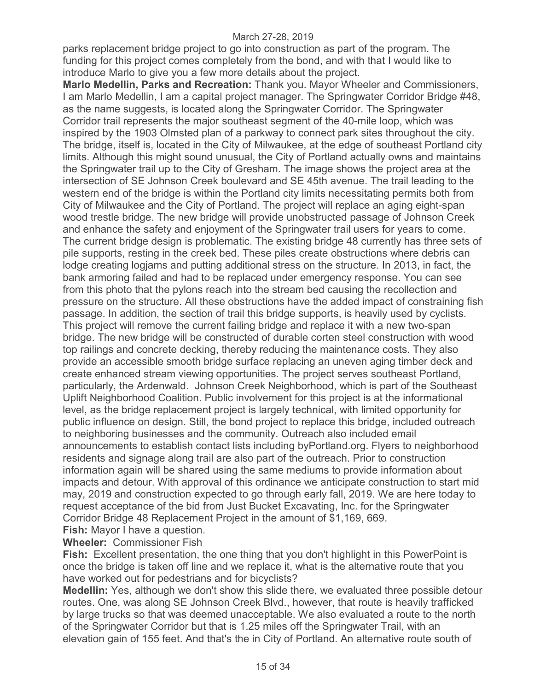parks replacement bridge project to go into construction as part of the program. The funding for this project comes completely from the bond, and with that I would like to introduce Marlo to give you a few more details about the project.

**Marlo Medellin, Parks and Recreation:** Thank you. Mayor Wheeler and Commissioners, I am Marlo Medellin, I am a capital project manager. The Springwater Corridor Bridge #48, as the name suggests, is located along the Springwater Corridor. The Springwater Corridor trail represents the major southeast segment of the 40-mile loop, which was inspired by the 1903 Olmsted plan of a parkway to connect park sites throughout the city. The bridge, itself is, located in the City of Milwaukee, at the edge of southeast Portland city limits. Although this might sound unusual, the City of Portland actually owns and maintains the Springwater trail up to the City of Gresham. The image shows the project area at the intersection of SE Johnson Creek boulevard and SE 45th avenue. The trail leading to the western end of the bridge is within the Portland city limits necessitating permits both from City of Milwaukee and the City of Portland. The project will replace an aging eight-span wood trestle bridge. The new bridge will provide unobstructed passage of Johnson Creek and enhance the safety and enjoyment of the Springwater trail users for years to come. The current bridge design is problematic. The existing bridge 48 currently has three sets of pile supports, resting in the creek bed. These piles create obstructions where debris can lodge creating logjams and putting additional stress on the structure. In 2013, in fact, the bank armoring failed and had to be replaced under emergency response. You can see from this photo that the pylons reach into the stream bed causing the recollection and pressure on the structure. All these obstructions have the added impact of constraining fish passage. In addition, the section of trail this bridge supports, is heavily used by cyclists. This project will remove the current failing bridge and replace it with a new two-span bridge. The new bridge will be constructed of durable corten steel construction with wood top railings and concrete decking, thereby reducing the maintenance costs. They also provide an accessible smooth bridge surface replacing an uneven aging timber deck and create enhanced stream viewing opportunities. The project serves southeast Portland, particularly, the Ardenwald. Johnson Creek Neighborhood, which is part of the Southeast Uplift Neighborhood Coalition. Public involvement for this project is at the informational level, as the bridge replacement project is largely technical, with limited opportunity for public influence on design. Still, the bond project to replace this bridge, included outreach to neighboring businesses and the community. Outreach also included email announcements to establish contact lists including byPortland.org. Flyers to neighborhood residents and signage along trail are also part of the outreach. Prior to construction information again will be shared using the same mediums to provide information about impacts and detour. With approval of this ordinance we anticipate construction to start mid may, 2019 and construction expected to go through early fall, 2019. We are here today to request acceptance of the bid from Just Bucket Excavating, Inc. for the Springwater Corridor Bridge 48 Replacement Project in the amount of \$1,169, 669.

**Fish:** Mayor I have a question.

**Wheeler:** Commissioner Fish

**Fish:** Excellent presentation, the one thing that you don't highlight in this PowerPoint is once the bridge is taken off line and we replace it, what is the alternative route that you have worked out for pedestrians and for bicyclists?

**Medellin:** Yes, although we don't show this slide there, we evaluated three possible detour routes. One, was along SE Johnson Creek Blvd., however, that route is heavily trafficked by large trucks so that was deemed unacceptable. We also evaluated a route to the north of the Springwater Corridor but that is 1.25 miles off the Springwater Trail, with an elevation gain of 155 feet. And that's the in City of Portland. An alternative route south of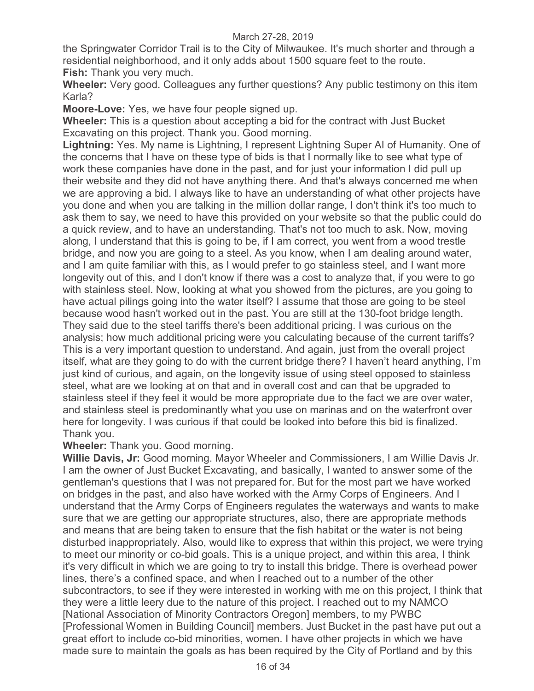the Springwater Corridor Trail is to the City of Milwaukee. It's much shorter and through a residential neighborhood, and it only adds about 1500 square feet to the route. **Fish:** Thank you very much.

**Wheeler:** Very good. Colleagues any further questions? Any public testimony on this item Karla?

**Moore-Love:** Yes, we have four people signed up.

**Wheeler:** This is a question about accepting a bid for the contract with Just Bucket Excavating on this project. Thank you. Good morning.

**Lightning:** Yes. My name is Lightning, I represent Lightning Super AI of Humanity. One of the concerns that I have on these type of bids is that I normally like to see what type of work these companies have done in the past, and for just your information I did pull up their website and they did not have anything there. And that's always concerned me when we are approving a bid. I always like to have an understanding of what other projects have you done and when you are talking in the million dollar range, I don't think it's too much to ask them to say, we need to have this provided on your website so that the public could do a quick review, and to have an understanding. That's not too much to ask. Now, moving along, I understand that this is going to be, if I am correct, you went from a wood trestle bridge, and now you are going to a steel. As you know, when I am dealing around water, and I am quite familiar with this, as I would prefer to go stainless steel, and I want more longevity out of this, and I don't know if there was a cost to analyze that, if you were to go with stainless steel. Now, looking at what you showed from the pictures, are you going to have actual pilings going into the water itself? I assume that those are going to be steel because wood hasn't worked out in the past. You are still at the 130-foot bridge length. They said due to the steel tariffs there's been additional pricing. I was curious on the analysis; how much additional pricing were you calculating because of the current tariffs? This is a very important question to understand. And again, just from the overall project itself, what are they going to do with the current bridge there? I haven't heard anything, I'm just kind of curious, and again, on the longevity issue of using steel opposed to stainless steel, what are we looking at on that and in overall cost and can that be upgraded to stainless steel if they feel it would be more appropriate due to the fact we are over water, and stainless steel is predominantly what you use on marinas and on the waterfront over here for longevity. I was curious if that could be looked into before this bid is finalized. Thank you.

# **Wheeler:** Thank you. Good morning.

**Willie Davis, Jr:** Good morning. Mayor Wheeler and Commissioners, I am Willie Davis Jr. I am the owner of Just Bucket Excavating, and basically, I wanted to answer some of the gentleman's questions that I was not prepared for. But for the most part we have worked on bridges in the past, and also have worked with the Army Corps of Engineers. And I understand that the Army Corps of Engineers regulates the waterways and wants to make sure that we are getting our appropriate structures, also, there are appropriate methods and means that are being taken to ensure that the fish habitat or the water is not being disturbed inappropriately. Also, would like to express that within this project, we were trying to meet our minority or co-bid goals. This is a unique project, and within this area, I think it's very difficult in which we are going to try to install this bridge. There is overhead power lines, there's a confined space, and when I reached out to a number of the other subcontractors, to see if they were interested in working with me on this project, I think that they were a little leery due to the nature of this project. I reached out to my NAMCO [National Association of Minority Contractors Oregon] members, to my PWBC [Professional Women in Building Council] members. Just Bucket in the past have put out a great effort to include co-bid minorities, women. I have other projects in which we have made sure to maintain the goals as has been required by the City of Portland and by this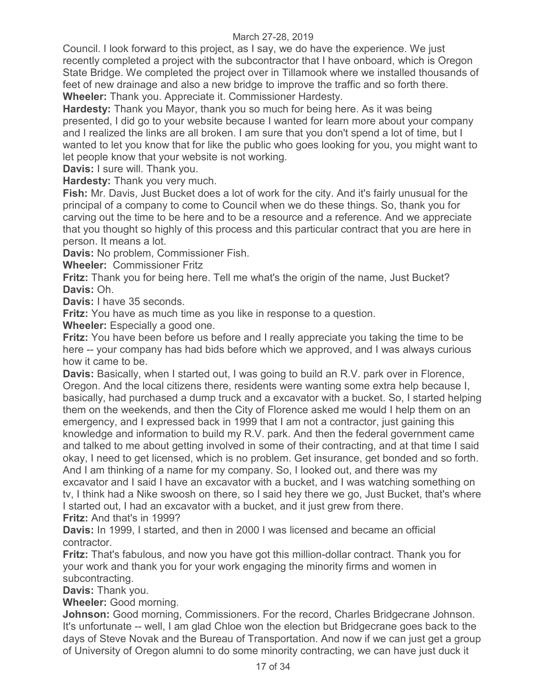Council. I look forward to this project, as I say, we do have the experience. We just recently completed a project with the subcontractor that I have onboard, which is Oregon State Bridge. We completed the project over in Tillamook where we installed thousands of feet of new drainage and also a new bridge to improve the traffic and so forth there. **Wheeler:** Thank you. Appreciate it. Commissioner Hardesty.

**Hardesty:** Thank you Mayor, thank you so much for being here. As it was being presented, I did go to your website because I wanted for learn more about your company and I realized the links are all broken. I am sure that you don't spend a lot of time, but I wanted to let you know that for like the public who goes looking for you, you might want to let people know that your website is not working.

**Davis:** I sure will. Thank you.

**Hardesty:** Thank you very much.

**Fish:** Mr. Davis, Just Bucket does a lot of work for the city. And it's fairly unusual for the principal of a company to come to Council when we do these things. So, thank you for carving out the time to be here and to be a resource and a reference. And we appreciate that you thought so highly of this process and this particular contract that you are here in person. It means a lot.

**Davis:** No problem, Commissioner Fish.

**Wheeler:** Commissioner Fritz

**Fritz:** Thank you for being here. Tell me what's the origin of the name, Just Bucket? **Davis:** Oh.

**Davis:** I have 35 seconds.

**Fritz:** You have as much time as you like in response to a question.

**Wheeler:** Especially a good one.

**Fritz:** You have been before us before and I really appreciate you taking the time to be here -- your company has had bids before which we approved, and I was always curious how it came to be.

**Davis:** Basically, when I started out, I was going to build an R.V. park over in Florence, Oregon. And the local citizens there, residents were wanting some extra help because I, basically, had purchased a dump truck and a excavator with a bucket. So, I started helping them on the weekends, and then the City of Florence asked me would I help them on an emergency, and I expressed back in 1999 that I am not a contractor, just gaining this knowledge and information to build my R.V. park. And then the federal government came and talked to me about getting involved in some of their contracting, and at that time I said okay, I need to get licensed, which is no problem. Get insurance, get bonded and so forth. And I am thinking of a name for my company. So, I looked out, and there was my excavator and I said I have an excavator with a bucket, and I was watching something on tv, I think had a Nike swoosh on there, so I said hey there we go, Just Bucket, that's where I started out, I had an excavator with a bucket, and it just grew from there. **Fritz:** And that's in 1999?

**Davis:** In 1999, I started, and then in 2000 I was licensed and became an official contractor.

**Fritz:** That's fabulous, and now you have got this million-dollar contract. Thank you for your work and thank you for your work engaging the minority firms and women in subcontracting.

**Davis:** Thank you.

**Wheeler:** Good morning.

**Johnson:** Good morning, Commissioners. For the record, Charles Bridgecrane Johnson. It's unfortunate -- well, I am glad Chloe won the election but Bridgecrane goes back to the days of Steve Novak and the Bureau of Transportation. And now if we can just get a group of University of Oregon alumni to do some minority contracting, we can have just duck it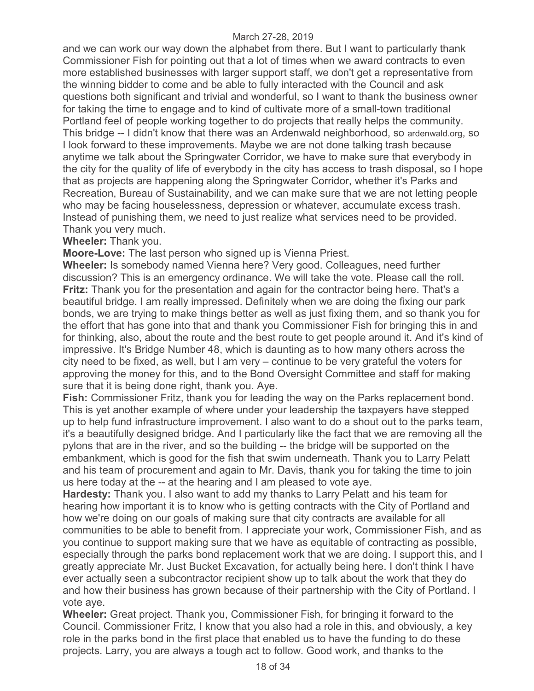and we can work our way down the alphabet from there. But I want to particularly thank Commissioner Fish for pointing out that a lot of times when we award contracts to even more established businesses with larger support staff, we don't get a representative from the winning bidder to come and be able to fully interacted with the Council and ask questions both significant and trivial and wonderful, so I want to thank the business owner for taking the time to engage and to kind of cultivate more of a small-town traditional Portland feel of people working together to do projects that really helps the community. This bridge -- I didn't know that there was an Ardenwald neighborhood, so ardenwald.org, so I look forward to these improvements. Maybe we are not done talking trash because anytime we talk about the Springwater Corridor, we have to make sure that everybody in the city for the quality of life of everybody in the city has access to trash disposal, so I hope that as projects are happening along the Springwater Corridor, whether it's Parks and Recreation, Bureau of Sustainability, and we can make sure that we are not letting people who may be facing houselessness, depression or whatever, accumulate excess trash. Instead of punishing them, we need to just realize what services need to be provided. Thank you very much.

## **Wheeler:** Thank you.

**Moore-Love:** The last person who signed up is Vienna Priest.

**Wheeler:** Is somebody named Vienna here? Very good. Colleagues, need further discussion? This is an emergency ordinance. We will take the vote. Please call the roll. **Fritz:** Thank you for the presentation and again for the contractor being here. That's a beautiful bridge. I am really impressed. Definitely when we are doing the fixing our park bonds, we are trying to make things better as well as just fixing them, and so thank you for the effort that has gone into that and thank you Commissioner Fish for bringing this in and for thinking, also, about the route and the best route to get people around it. And it's kind of impressive. It's Bridge Number 48, which is daunting as to how many others across the city need to be fixed, as well, but I am very – continue to be very grateful the voters for approving the money for this, and to the Bond Oversight Committee and staff for making sure that it is being done right, thank you. Aye.

**Fish:** Commissioner Fritz, thank you for leading the way on the Parks replacement bond. This is yet another example of where under your leadership the taxpayers have stepped up to help fund infrastructure improvement. I also want to do a shout out to the parks team, it's a beautifully designed bridge. And I particularly like the fact that we are removing all the pylons that are in the river, and so the building -- the bridge will be supported on the embankment, which is good for the fish that swim underneath. Thank you to Larry Pelatt and his team of procurement and again to Mr. Davis, thank you for taking the time to join us here today at the -- at the hearing and I am pleased to vote aye.

**Hardesty:** Thank you. I also want to add my thanks to Larry Pelatt and his team for hearing how important it is to know who is getting contracts with the City of Portland and how we're doing on our goals of making sure that city contracts are available for all communities to be able to benefit from. I appreciate your work, Commissioner Fish, and as you continue to support making sure that we have as equitable of contracting as possible, especially through the parks bond replacement work that we are doing. I support this, and I greatly appreciate Mr. Just Bucket Excavation, for actually being here. I don't think I have ever actually seen a subcontractor recipient show up to talk about the work that they do and how their business has grown because of their partnership with the City of Portland. I vote aye.

**Wheeler:** Great project. Thank you, Commissioner Fish, for bringing it forward to the Council. Commissioner Fritz, I know that you also had a role in this, and obviously, a key role in the parks bond in the first place that enabled us to have the funding to do these projects. Larry, you are always a tough act to follow. Good work, and thanks to the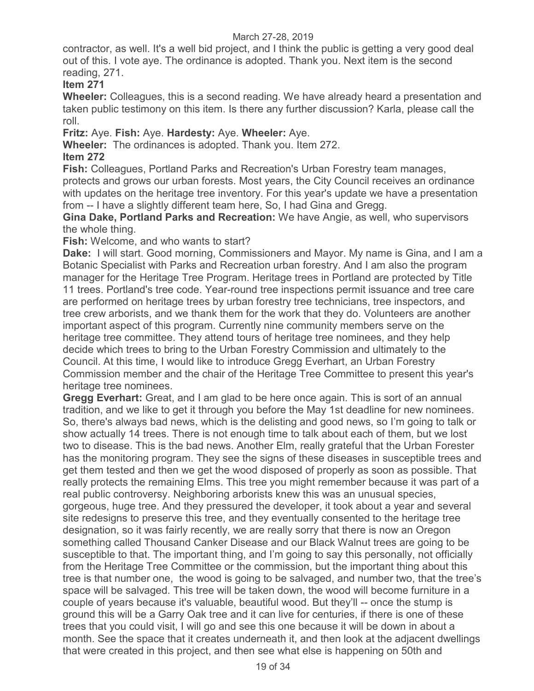contractor, as well. It's a well bid project, and I think the public is getting a very good deal out of this. I vote aye. The ordinance is adopted. Thank you. Next item is the second reading, 271.

# **Item 271**

**Wheeler:** Colleagues, this is a second reading. We have already heard a presentation and taken public testimony on this item. Is there any further discussion? Karla, please call the roll.

**Fritz:** Aye. **Fish:** Aye. **Hardesty:** Aye. **Wheeler:** Aye.

**Wheeler:** The ordinances is adopted. Thank you. Item 272.

# **Item 272**

**Fish:** Colleagues, Portland Parks and Recreation's Urban Forestry team manages, protects and grows our urban forests. Most years, the City Council receives an ordinance with updates on the heritage tree inventory. For this year's update we have a presentation from -- I have a slightly different team here, So, I had Gina and Gregg.

**Gina Dake, Portland Parks and Recreation:** We have Angie, as well, who supervisors the whole thing.

**Fish:** Welcome, and who wants to start?

**Dake:** I will start. Good morning, Commissioners and Mayor. My name is Gina, and I am a Botanic Specialist with Parks and Recreation urban forestry. And I am also the program manager for the Heritage Tree Program. Heritage trees in Portland are protected by Title 11 trees. Portland's tree code. Year-round tree inspections permit issuance and tree care are performed on heritage trees by urban forestry tree technicians, tree inspectors, and tree crew arborists, and we thank them for the work that they do. Volunteers are another important aspect of this program. Currently nine community members serve on the heritage tree committee. They attend tours of heritage tree nominees, and they help decide which trees to bring to the Urban Forestry Commission and ultimately to the Council. At this time, I would like to introduce Gregg Everhart, an Urban Forestry Commission member and the chair of the Heritage Tree Committee to present this year's heritage tree nominees.

**Gregg Everhart:** Great, and I am glad to be here once again. This is sort of an annual tradition, and we like to get it through you before the May 1st deadline for new nominees. So, there's always bad news, which is the delisting and good news, so I'm going to talk or show actually 14 trees. There is not enough time to talk about each of them, but we lost two to disease. This is the bad news. Another Elm, really grateful that the Urban Forester has the monitoring program. They see the signs of these diseases in susceptible trees and get them tested and then we get the wood disposed of properly as soon as possible. That really protects the remaining Elms. This tree you might remember because it was part of a real public controversy. Neighboring arborists knew this was an unusual species, gorgeous, huge tree. And they pressured the developer, it took about a year and several site redesigns to preserve this tree, and they eventually consented to the heritage tree designation, so it was fairly recently, we are really sorry that there is now an Oregon something called Thousand Canker Disease and our Black Walnut trees are going to be susceptible to that. The important thing, and I'm going to say this personally, not officially from the Heritage Tree Committee or the commission, but the important thing about this tree is that number one, the wood is going to be salvaged, and number two, that the tree's space will be salvaged. This tree will be taken down, the wood will become furniture in a couple of years because it's valuable, beautiful wood. But they'll -- once the stump is ground this will be a Garry Oak tree and it can live for centuries, if there is one of these trees that you could visit, I will go and see this one because it will be down in about a month. See the space that it creates underneath it, and then look at the adjacent dwellings that were created in this project, and then see what else is happening on 50th and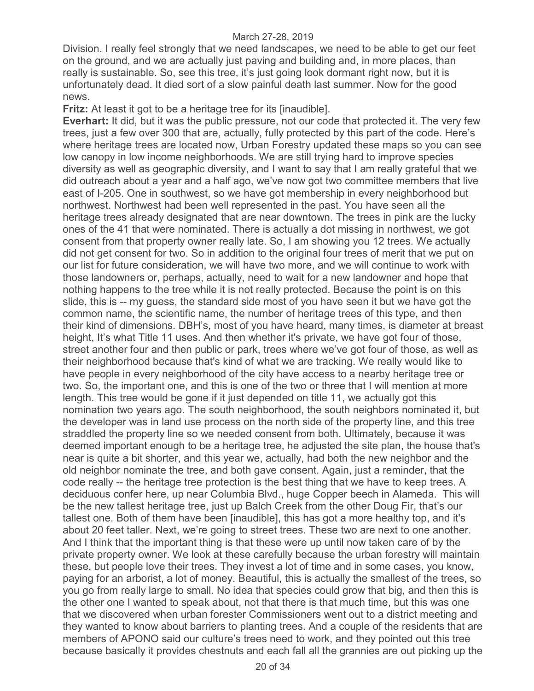Division. I really feel strongly that we need landscapes, we need to be able to get our feet on the ground, and we are actually just paving and building and, in more places, than really is sustainable. So, see this tree, it's just going look dormant right now, but it is unfortunately dead. It died sort of a slow painful death last summer. Now for the good news.

**Fritz:** At least it got to be a heritage tree for its [inaudible].

**Everhart:** It did, but it was the public pressure, not our code that protected it. The very few trees, just a few over 300 that are, actually, fully protected by this part of the code. Here's where heritage trees are located now, Urban Forestry updated these maps so you can see low canopy in low income neighborhoods. We are still trying hard to improve species diversity as well as geographic diversity, and I want to say that I am really grateful that we did outreach about a year and a half ago, we've now got two committee members that live east of I-205. One in southwest, so we have got membership in every neighborhood but northwest. Northwest had been well represented in the past. You have seen all the heritage trees already designated that are near downtown. The trees in pink are the lucky ones of the 41 that were nominated. There is actually a dot missing in northwest, we got consent from that property owner really late. So, I am showing you 12 trees. We actually did not get consent for two. So in addition to the original four trees of merit that we put on our list for future consideration, we will have two more, and we will continue to work with those landowners or, perhaps, actually, need to wait for a new landowner and hope that nothing happens to the tree while it is not really protected. Because the point is on this slide, this is -- my guess, the standard side most of you have seen it but we have got the common name, the scientific name, the number of heritage trees of this type, and then their kind of dimensions. DBH's, most of you have heard, many times, is diameter at breast height, It's what Title 11 uses. And then whether it's private, we have got four of those, street another four and then public or park, trees where we've got four of those, as well as their neighborhood because that's kind of what we are tracking. We really would like to have people in every neighborhood of the city have access to a nearby heritage tree or two. So, the important one, and this is one of the two or three that I will mention at more length. This tree would be gone if it just depended on title 11, we actually got this nomination two years ago. The south neighborhood, the south neighbors nominated it, but the developer was in land use process on the north side of the property line, and this tree straddled the property line so we needed consent from both. Ultimately, because it was deemed important enough to be a heritage tree, he adjusted the site plan, the house that's near is quite a bit shorter, and this year we, actually, had both the new neighbor and the old neighbor nominate the tree, and both gave consent. Again, just a reminder, that the code really -- the heritage tree protection is the best thing that we have to keep trees. A deciduous confer here, up near Columbia Blvd., huge Copper beech in Alameda. This will be the new tallest heritage tree, just up Balch Creek from the other Doug Fir, that's our tallest one. Both of them have been [inaudible], this has got a more healthy top, and it's about 20 feet taller. Next, we're going to street trees. These two are next to one another. And I think that the important thing is that these were up until now taken care of by the private property owner. We look at these carefully because the urban forestry will maintain these, but people love their trees. They invest a lot of time and in some cases, you know, paying for an arborist, a lot of money. Beautiful, this is actually the smallest of the trees, so you go from really large to small. No idea that species could grow that big, and then this is the other one I wanted to speak about, not that there is that much time, but this was one that we discovered when urban forester Commissioners went out to a district meeting and they wanted to know about barriers to planting trees. And a couple of the residents that are members of APONO said our culture's trees need to work, and they pointed out this tree because basically it provides chestnuts and each fall all the grannies are out picking up the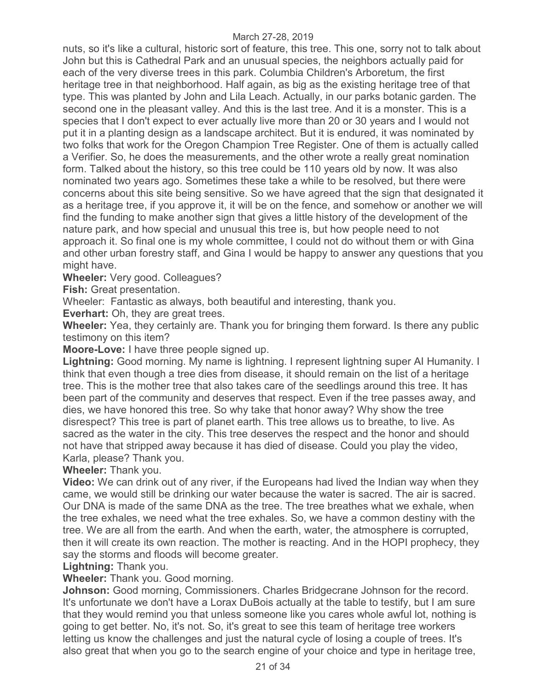nuts, so it's like a cultural, historic sort of feature, this tree. This one, sorry not to talk about John but this is Cathedral Park and an unusual species, the neighbors actually paid for each of the very diverse trees in this park. Columbia Children's Arboretum, the first heritage tree in that neighborhood. Half again, as big as the existing heritage tree of that type. This was planted by John and Lila Leach. Actually, in our parks botanic garden. The second one in the pleasant valley. And this is the last tree. And it is a monster. This is a species that I don't expect to ever actually live more than 20 or 30 years and I would not put it in a planting design as a landscape architect. But it is endured, it was nominated by two folks that work for the Oregon Champion Tree Register. One of them is actually called a Verifier. So, he does the measurements, and the other wrote a really great nomination form. Talked about the history, so this tree could be 110 years old by now. It was also nominated two years ago. Sometimes these take a while to be resolved, but there were concerns about this site being sensitive. So we have agreed that the sign that designated it as a heritage tree, if you approve it, it will be on the fence, and somehow or another we will find the funding to make another sign that gives a little history of the development of the nature park, and how special and unusual this tree is, but how people need to not approach it. So final one is my whole committee, I could not do without them or with Gina and other urban forestry staff, and Gina I would be happy to answer any questions that you might have.

**Wheeler:** Very good. Colleagues?

**Fish:** Great presentation.

Wheeler: Fantastic as always, both beautiful and interesting, thank you.

**Everhart:** Oh, they are great trees.

**Wheeler:** Yea, they certainly are. Thank you for bringing them forward. Is there any public testimony on this item?

**Moore-Love:** I have three people signed up.

**Lightning:** Good morning. My name is lightning. I represent lightning super AI Humanity. I think that even though a tree dies from disease, it should remain on the list of a heritage tree. This is the mother tree that also takes care of the seedlings around this tree. It has been part of the community and deserves that respect. Even if the tree passes away, and dies, we have honored this tree. So why take that honor away? Why show the tree disrespect? This tree is part of planet earth. This tree allows us to breathe, to live. As sacred as the water in the city. This tree deserves the respect and the honor and should not have that stripped away because it has died of disease. Could you play the video, Karla, please? Thank you.

**Wheeler:** Thank you.

**Video:** We can drink out of any river, if the Europeans had lived the Indian way when they came, we would still be drinking our water because the water is sacred. The air is sacred. Our DNA is made of the same DNA as the tree. The tree breathes what we exhale, when the tree exhales, we need what the tree exhales. So, we have a common destiny with the tree. We are all from the earth. And when the earth, water, the atmosphere is corrupted, then it will create its own reaction. The mother is reacting. And in the HOPI prophecy, they say the storms and floods will become greater.

**Lightning:** Thank you.

**Wheeler:** Thank you. Good morning.

**Johnson:** Good morning, Commissioners. Charles Bridgecrane Johnson for the record. It's unfortunate we don't have a Lorax DuBois actually at the table to testify, but I am sure that they would remind you that unless someone like you cares whole awful lot, nothing is going to get better. No, it's not. So, it's great to see this team of heritage tree workers letting us know the challenges and just the natural cycle of losing a couple of trees. It's also great that when you go to the search engine of your choice and type in heritage tree,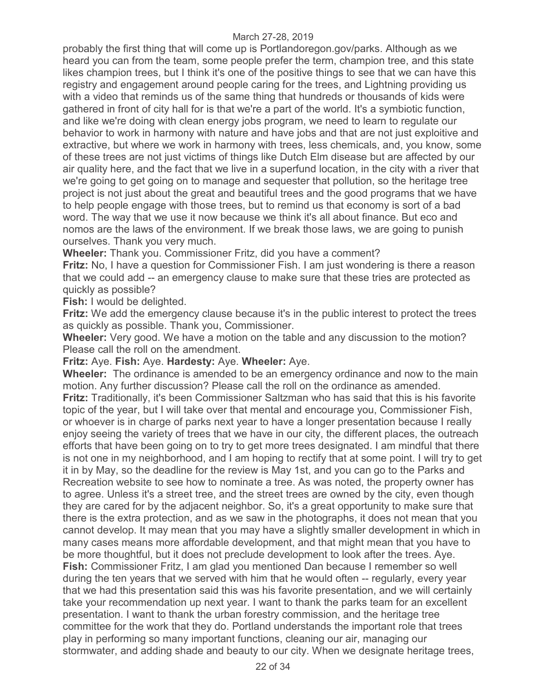probably the first thing that will come up is Portlandoregon.gov/parks. Although as we heard you can from the team, some people prefer the term, champion tree, and this state likes champion trees, but I think it's one of the positive things to see that we can have this registry and engagement around people caring for the trees, and Lightning providing us with a video that reminds us of the same thing that hundreds or thousands of kids were gathered in front of city hall for is that we're a part of the world. It's a symbiotic function, and like we're doing with clean energy jobs program, we need to learn to regulate our behavior to work in harmony with nature and have jobs and that are not just exploitive and extractive, but where we work in harmony with trees, less chemicals, and, you know, some of these trees are not just victims of things like Dutch Elm disease but are affected by our air quality here, and the fact that we live in a superfund location, in the city with a river that we're going to get going on to manage and sequester that pollution, so the heritage tree project is not just about the great and beautiful trees and the good programs that we have to help people engage with those trees, but to remind us that economy is sort of a bad word. The way that we use it now because we think it's all about finance. But eco and nomos are the laws of the environment. If we break those laws, we are going to punish ourselves. Thank you very much.

**Wheeler:** Thank you. Commissioner Fritz, did you have a comment?

**Fritz:** No, I have a question for Commissioner Fish. I am just wondering is there a reason that we could add -- an emergency clause to make sure that these tries are protected as quickly as possible?

**Fish:** I would be delighted.

**Fritz:** We add the emergency clause because it's in the public interest to protect the trees as quickly as possible. Thank you, Commissioner.

**Wheeler:** Very good. We have a motion on the table and any discussion to the motion? Please call the roll on the amendment.

**Fritz:** Aye. **Fish:** Aye. **Hardesty:** Aye. **Wheeler:** Aye.

**Wheeler:** The ordinance is amended to be an emergency ordinance and now to the main motion. Any further discussion? Please call the roll on the ordinance as amended. **Fritz:** Traditionally, it's been Commissioner Saltzman who has said that this is his favorite topic of the year, but I will take over that mental and encourage you, Commissioner Fish, or whoever is in charge of parks next year to have a longer presentation because I really enjoy seeing the variety of trees that we have in our city, the different places, the outreach efforts that have been going on to try to get more trees designated. I am mindful that there is not one in my neighborhood, and I am hoping to rectify that at some point. I will try to get it in by May, so the deadline for the review is May 1st, and you can go to the Parks and Recreation website to see how to nominate a tree. As was noted, the property owner has to agree. Unless it's a street tree, and the street trees are owned by the city, even though they are cared for by the adjacent neighbor. So, it's a great opportunity to make sure that there is the extra protection, and as we saw in the photographs, it does not mean that you cannot develop. It may mean that you may have a slightly smaller development in which in many cases means more affordable development, and that might mean that you have to be more thoughtful, but it does not preclude development to look after the trees. Aye. **Fish:** Commissioner Fritz, I am glad you mentioned Dan because I remember so well during the ten years that we served with him that he would often -- regularly, every year that we had this presentation said this was his favorite presentation, and we will certainly take your recommendation up next year. I want to thank the parks team for an excellent presentation. I want to thank the urban forestry commission, and the heritage tree committee for the work that they do. Portland understands the important role that trees play in performing so many important functions, cleaning our air, managing our stormwater, and adding shade and beauty to our city. When we designate heritage trees,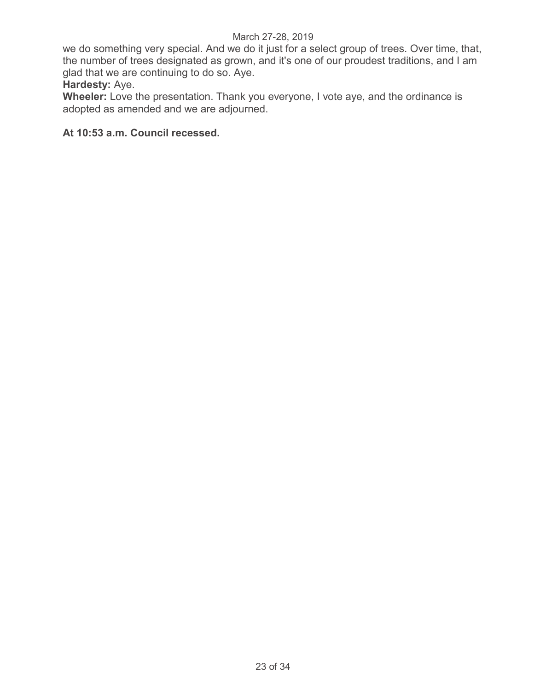we do something very special. And we do it just for a select group of trees. Over time, that, the number of trees designated as grown, and it's one of our proudest traditions, and I am glad that we are continuing to do so. Aye.

# **Hardesty:** Aye.

**Wheeler:** Love the presentation. Thank you everyone, I vote aye, and the ordinance is adopted as amended and we are adjourned.

# **At 10:53 a.m. Council recessed.**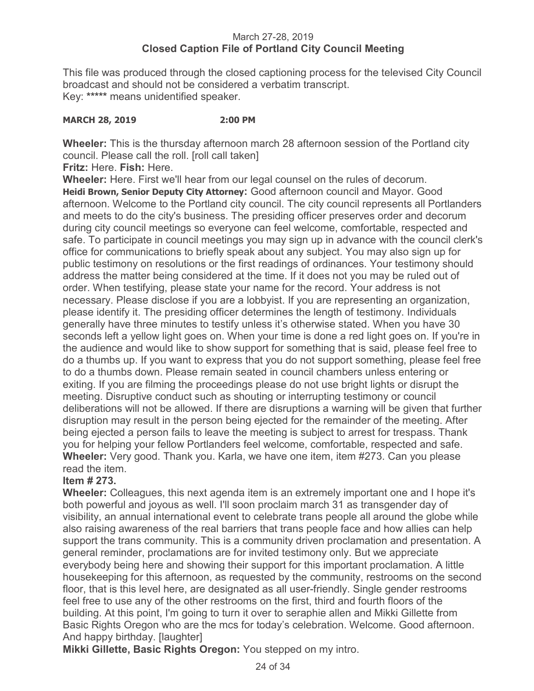# March 27-28, 2019 **Closed Caption File of Portland City Council Meeting**

This file was produced through the closed captioning process for the televised City Council broadcast and should not be considered a verbatim transcript. Key: **\*\*\*\*\*** means unidentified speaker.

#### **MARCH 28, 2019 2:00 PM**

**Wheeler:** This is the thursday afternoon march 28 afternoon session of the Portland city council. Please call the roll. [roll call taken]

**Fritz:** Here. **Fish:** Here.

**Wheeler:** Here. First we'll hear from our legal counsel on the rules of decorum. **Heidi Brown, Senior Deputy City Attorney:** Good afternoon council and Mayor. Good afternoon. Welcome to the Portland city council. The city council represents all Portlanders and meets to do the city's business. The presiding officer preserves order and decorum during city council meetings so everyone can feel welcome, comfortable, respected and safe. To participate in council meetings you may sign up in advance with the council clerk's office for communications to briefly speak about any subject. You may also sign up for public testimony on resolutions or the first readings of ordinances. Your testimony should address the matter being considered at the time. If it does not you may be ruled out of order. When testifying, please state your name for the record. Your address is not necessary. Please disclose if you are a lobbyist. If you are representing an organization, please identify it. The presiding officer determines the length of testimony. Individuals generally have three minutes to testify unless it's otherwise stated. When you have 30 seconds left a yellow light goes on. When your time is done a red light goes on. If you're in the audience and would like to show support for something that is said, please feel free to do a thumbs up. If you want to express that you do not support something, please feel free to do a thumbs down. Please remain seated in council chambers unless entering or exiting. If you are filming the proceedings please do not use bright lights or disrupt the meeting. Disruptive conduct such as shouting or interrupting testimony or council deliberations will not be allowed. If there are disruptions a warning will be given that further disruption may result in the person being ejected for the remainder of the meeting. After being ejected a person fails to leave the meeting is subject to arrest for trespass. Thank you for helping your fellow Portlanders feel welcome, comfortable, respected and safe. **Wheeler:** Very good. Thank you. Karla, we have one item, item #273. Can you please read the item.

# **Item # 273.**

**Wheeler:** Colleagues, this next agenda item is an extremely important one and I hope it's both powerful and joyous as well. I'll soon proclaim march 31 as transgender day of visibility, an annual international event to celebrate trans people all around the globe while also raising awareness of the real barriers that trans people face and how allies can help support the trans community. This is a community driven proclamation and presentation. A general reminder, proclamations are for invited testimony only. But we appreciate everybody being here and showing their support for this important proclamation. A little housekeeping for this afternoon, as requested by the community, restrooms on the second floor, that is this level here, are designated as all user-friendly. Single gender restrooms feel free to use any of the other restrooms on the first, third and fourth floors of the building. At this point, I'm going to turn it over to seraphie allen and Mikki Gillette from Basic Rights Oregon who are the mcs for today's celebration. Welcome. Good afternoon. And happy birthday. [laughter]

**Mikki Gillette, Basic Rights Oregon:** You stepped on my intro.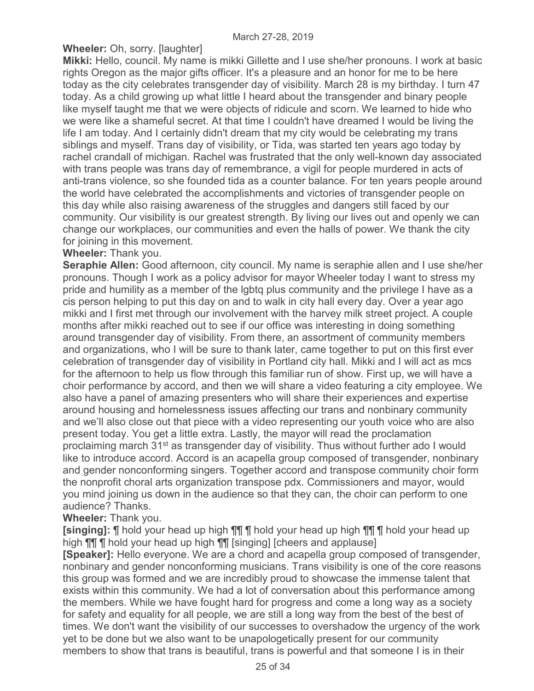# **Wheeler:** Oh, sorry. [laughter]

**Mikki:** Hello, council. My name is mikki Gillette and I use she/her pronouns. I work at basic rights Oregon as the major gifts officer. It's a pleasure and an honor for me to be here today as the city celebrates transgender day of visibility. March 28 is my birthday. I turn 47 today. As a child growing up what little I heard about the transgender and binary people like myself taught me that we were objects of ridicule and scorn. We learned to hide who we were like a shameful secret. At that time I couldn't have dreamed I would be living the life I am today. And I certainly didn't dream that my city would be celebrating my trans siblings and myself. Trans day of visibility, or Tida, was started ten years ago today by rachel crandall of michigan. Rachel was frustrated that the only well-known day associated with trans people was trans day of remembrance, a vigil for people murdered in acts of anti-trans violence, so she founded tida as a counter balance. For ten years people around the world have celebrated the accomplishments and victories of transgender people on this day while also raising awareness of the struggles and dangers still faced by our community. Our visibility is our greatest strength. By living our lives out and openly we can change our workplaces, our communities and even the halls of power. We thank the city for joining in this movement.

## **Wheeler:** Thank you.

**Seraphie Allen:** Good afternoon, city council. My name is seraphie allen and I use she/her pronouns. Though I work as a policy advisor for mayor Wheeler today I want to stress my pride and humility as a member of the lgbtq plus community and the privilege I have as a cis person helping to put this day on and to walk in city hall every day. Over a year ago mikki and I first met through our involvement with the harvey milk street project. A couple months after mikki reached out to see if our office was interesting in doing something around transgender day of visibility. From there, an assortment of community members and organizations, who I will be sure to thank later, came together to put on this first ever celebration of transgender day of visibility in Portland city hall. Mikki and I will act as mcs for the afternoon to help us flow through this familiar run of show. First up, we will have a choir performance by accord, and then we will share a video featuring a city employee. We also have a panel of amazing presenters who will share their experiences and expertise around housing and homelessness issues affecting our trans and nonbinary community and we'll also close out that piece with a video representing our youth voice who are also present today. You get a little extra. Lastly, the mayor will read the proclamation proclaiming march 31st as transgender day of visibility. Thus without further ado I would like to introduce accord. Accord is an acapella group composed of transgender, nonbinary and gender nonconforming singers. Together accord and transpose community choir form the nonprofit choral arts organization transpose pdx. Commissioners and mayor, would you mind joining us down in the audience so that they can, the choir can perform to one audience? Thanks.

**Wheeler:** Thank you.

**[singing]:** ¶ hold your head up high ¶¶ ¶ hold your head up high ¶¶ ¶ hold your head up high  $\P\P$   $\P$  hold your head up high  $\P\P$  [singing] [cheers and applause]

**[Speaker]:** Hello everyone. We are a chord and acapella group composed of transgender, nonbinary and gender nonconforming musicians. Trans visibility is one of the core reasons this group was formed and we are incredibly proud to showcase the immense talent that exists within this community. We had a lot of conversation about this performance among the members. While we have fought hard for progress and come a long way as a society for safety and equality for all people, we are still a long way from the best of the best of times. We don't want the visibility of our successes to overshadow the urgency of the work yet to be done but we also want to be unapologetically present for our community members to show that trans is beautiful, trans is powerful and that someone I is in their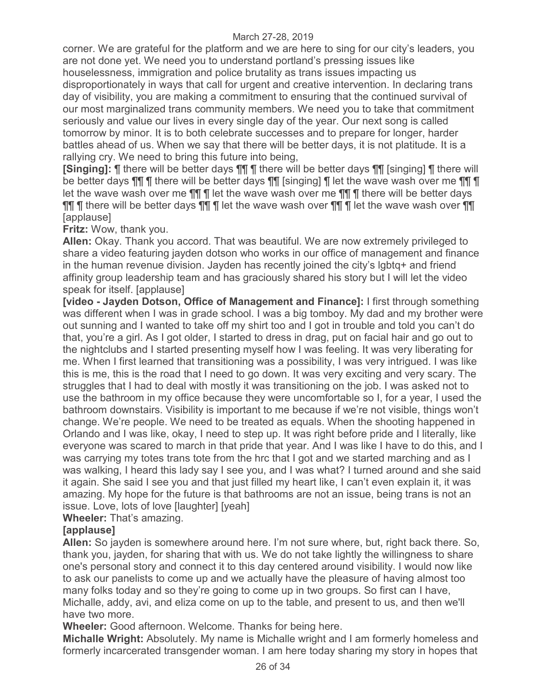corner. We are grateful for the platform and we are here to sing for our city's leaders, you are not done yet. We need you to understand portland's pressing issues like houselessness, immigration and police brutality as trans issues impacting us disproportionately in ways that call for urgent and creative intervention. In declaring trans day of visibility, you are making a commitment to ensuring that the continued survival of our most marginalized trans community members. We need you to take that commitment seriously and value our lives in every single day of the year. Our next song is called tomorrow by minor. It is to both celebrate successes and to prepare for longer, harder battles ahead of us. When we say that there will be better days, it is not platitude. It is a rallying cry. We need to bring this future into being,

**[Singing]:** ¶ there will be better days ¶¶ ¶ there will be better days ¶¶ [singing] ¶ there will be better days ¶¶ ¶ there will be better days ¶¶ [singing] ¶ let the wave wash over me ¶¶ ¶ let the wave wash over me  $\P\P$  | let the wave wash over me  $\P\P$  | inere will be better days ¶¶ ¶ there will be better days ¶¶ ¶ let the wave wash over ¶¶ ¶ let the wave wash over ¶¶ [applause]

**Fritz:** Wow, thank you.

**Allen:** Okay. Thank you accord. That was beautiful. We are now extremely privileged to share a video featuring jayden dotson who works in our office of management and finance in the human revenue division. Jayden has recently joined the city's lgbtq+ and friend affinity group leadership team and has graciously shared his story but I will let the video speak for itself. [applause]

**[video - Jayden Dotson, Office of Management and Finance]:** I first through something was different when I was in grade school. I was a big tomboy. My dad and my brother were out sunning and I wanted to take off my shirt too and I got in trouble and told you can't do that, you're a girl. As I got older, I started to dress in drag, put on facial hair and go out to the nightclubs and I started presenting myself how I was feeling. It was very liberating for me. When I first learned that transitioning was a possibility, I was very intrigued. I was like this is me, this is the road that I need to go down. It was very exciting and very scary. The struggles that I had to deal with mostly it was transitioning on the job. I was asked not to use the bathroom in my office because they were uncomfortable so I, for a year, I used the bathroom downstairs. Visibility is important to me because if we're not visible, things won't change. We're people. We need to be treated as equals. When the shooting happened in Orlando and I was like, okay, I need to step up. It was right before pride and I literally, like everyone was scared to march in that pride that year. And I was like I have to do this, and I was carrying my totes trans tote from the hrc that I got and we started marching and as I was walking, I heard this lady say I see you, and I was what? I turned around and she said it again. She said I see you and that just filled my heart like, I can't even explain it, it was amazing. My hope for the future is that bathrooms are not an issue, being trans is not an issue. Love, lots of love [laughter] [yeah]

**Wheeler:** That's amazing.

# **[applause]**

**Allen:** So jayden is somewhere around here. I'm not sure where, but, right back there. So, thank you, jayden, for sharing that with us. We do not take lightly the willingness to share one's personal story and connect it to this day centered around visibility. I would now like to ask our panelists to come up and we actually have the pleasure of having almost too many folks today and so they're going to come up in two groups. So first can I have, Michalle, addy, avi, and eliza come on up to the table, and present to us, and then we'll have two more.

**Wheeler:** Good afternoon. Welcome. Thanks for being here.

**Michalle Wright:** Absolutely. My name is Michalle wright and I am formerly homeless and formerly incarcerated transgender woman. I am here today sharing my story in hopes that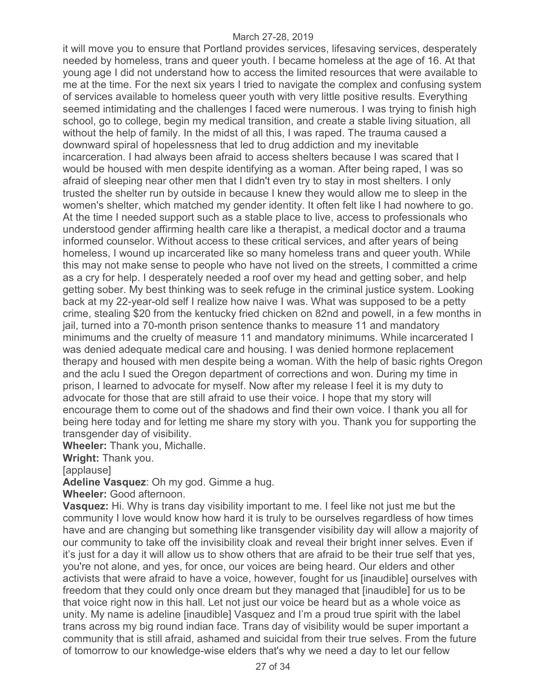it will move you to ensure that Portland provides services, lifesaving services, desperately needed by homeless, trans and queer youth. I became homeless at the age of 16. At that young age I did not understand how to access the limited resources that were available to me at the time. For the next six years I tried to navigate the complex and confusing system of services available to homeless queer youth with very little positive results. Everything seemed intimidating and the challenges I faced were numerous. I was trying to finish high school, go to college, begin my medical transition, and create a stable living situation, all without the help of family. In the midst of all this, I was raped. The trauma caused a downward spiral of hopelessness that led to drug addiction and my inevitable incarceration. I had always been afraid to access shelters because I was scared that I would be housed with men despite identifying as a woman. After being raped, I was so afraid of sleeping near other men that I didn't even try to stay in most shelters. I only trusted the shelter run by outside in because I knew they would allow me to sleep in the women's shelter, which matched my gender identity. It often felt like I had nowhere to go. At the time I needed support such as a stable place to live, access to professionals who understood gender affirming health care like a therapist, a medical doctor and a trauma informed counselor. Without access to these critical services, and after years of being homeless, I wound up incarcerated like so many homeless trans and queer youth. While this may not make sense to people who have not lived on the streets, I committed a crime as a cry for help. I desperately needed a roof over my head and getting sober, and help getting sober. My best thinking was to seek refuge in the criminal justice system. Looking back at my 22-year-old self I realize how naive I was. What was supposed to be a petty crime, stealing \$20 from the kentucky fried chicken on 82nd and powell, in a few months in jail, turned into a 70-month prison sentence thanks to measure 11 and mandatory minimums and the cruelty of measure 11 and mandatory minimums. While incarcerated I was denied adequate medical care and housing. I was denied hormone replacement therapy and housed with men despite being a woman. With the help of basic rights Oregon and the aclu I sued the Oregon department of corrections and won. During my time in prison, I learned to advocate for myself. Now after my release I feel it is my duty to advocate for those that are still afraid to use their voice. I hope that my story will encourage them to come out of the shadows and find their own voice. I thank you all for being here today and for letting me share my story with you. Thank you for supporting the transgender day of visibility.

**Wheeler:** Thank you, Michalle.

**Wright:** Thank you.

[applause]

**Adeline Vasquez**: Oh my god. Gimme a hug.

**Wheeler:** Good afternoon.

**Vasquez:** Hi. Why is trans day visibility important to me. I feel like not just me but the community I love would know how hard it is truly to be ourselves regardless of how times have and are changing but something like transgender visibility day will allow a majority of our community to take off the invisibility cloak and reveal their bright inner selves. Even if it's just for a day it will allow us to show others that are afraid to be their true self that yes, you're not alone, and yes, for once, our voices are being heard. Our elders and other activists that were afraid to have a voice, however, fought for us [inaudible] ourselves with freedom that they could only once dream but they managed that [inaudible] for us to be that voice right now in this hall. Let not just our voice be heard but as a whole voice as unity. My name is adeline [inaudible] Vasquez and I'm a proud true spirit with the label trans across my big round indian face. Trans day of visibility would be super important a community that is still afraid, ashamed and suicidal from their true selves. From the future of tomorrow to our knowledge-wise elders that's why we need a day to let our fellow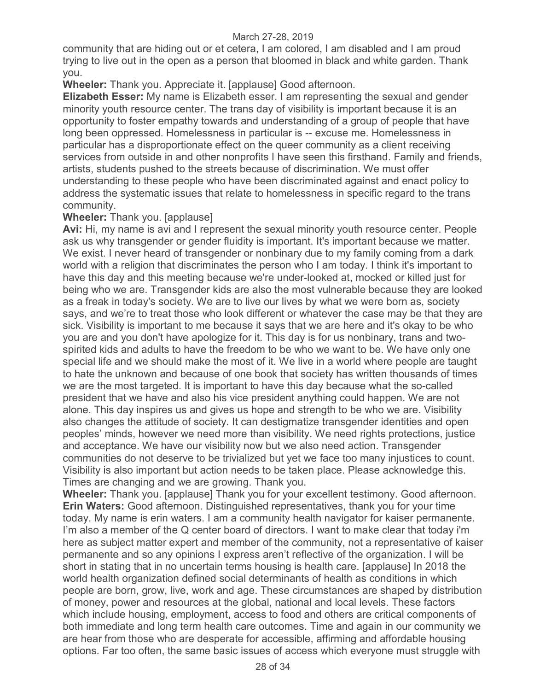community that are hiding out or et cetera, I am colored, I am disabled and I am proud trying to live out in the open as a person that bloomed in black and white garden. Thank you.

**Wheeler:** Thank you. Appreciate it. [applause] Good afternoon.

**Elizabeth Esser:** My name is Elizabeth esser. I am representing the sexual and gender minority youth resource center. The trans day of visibility is important because it is an opportunity to foster empathy towards and understanding of a group of people that have long been oppressed. Homelessness in particular is -- excuse me. Homelessness in particular has a disproportionate effect on the queer community as a client receiving services from outside in and other nonprofits I have seen this firsthand. Family and friends, artists, students pushed to the streets because of discrimination. We must offer understanding to these people who have been discriminated against and enact policy to address the systematic issues that relate to homelessness in specific regard to the trans community.

## **Wheeler:** Thank you. [applause]

**Avi:** Hi, my name is avi and I represent the sexual minority youth resource center. People ask us why transgender or gender fluidity is important. It's important because we matter. We exist. I never heard of transgender or nonbinary due to my family coming from a dark world with a religion that discriminates the person who I am today. I think it's important to have this day and this meeting because we're under-looked at, mocked or killed just for being who we are. Transgender kids are also the most vulnerable because they are looked as a freak in today's society. We are to live our lives by what we were born as, society says, and we're to treat those who look different or whatever the case may be that they are sick. Visibility is important to me because it says that we are here and it's okay to be who you are and you don't have apologize for it. This day is for us nonbinary, trans and twospirited kids and adults to have the freedom to be who we want to be. We have only one special life and we should make the most of it. We live in a world where people are taught to hate the unknown and because of one book that society has written thousands of times we are the most targeted. It is important to have this day because what the so-called president that we have and also his vice president anything could happen. We are not alone. This day inspires us and gives us hope and strength to be who we are. Visibility also changes the attitude of society. It can destigmatize transgender identities and open peoples' minds, however we need more than visibility. We need rights protections, justice and acceptance. We have our visibility now but we also need action. Transgender communities do not deserve to be trivialized but yet we face too many injustices to count. Visibility is also important but action needs to be taken place. Please acknowledge this. Times are changing and we are growing. Thank you.

**Wheeler:** Thank you. [applause] Thank you for your excellent testimony. Good afternoon. **Erin Waters:** Good afternoon. Distinguished representatives, thank you for your time today. My name is erin waters. I am a community health navigator for kaiser permanente. I'm also a member of the Q center board of directors. I want to make clear that today i'm here as subject matter expert and member of the community, not a representative of kaiser permanente and so any opinions I express aren't reflective of the organization. I will be short in stating that in no uncertain terms housing is health care. [applause] In 2018 the world health organization defined social determinants of health as conditions in which people are born, grow, live, work and age. These circumstances are shaped by distribution of money, power and resources at the global, national and local levels. These factors which include housing, employment, access to food and others are critical components of both immediate and long term health care outcomes. Time and again in our community we are hear from those who are desperate for accessible, affirming and affordable housing options. Far too often, the same basic issues of access which everyone must struggle with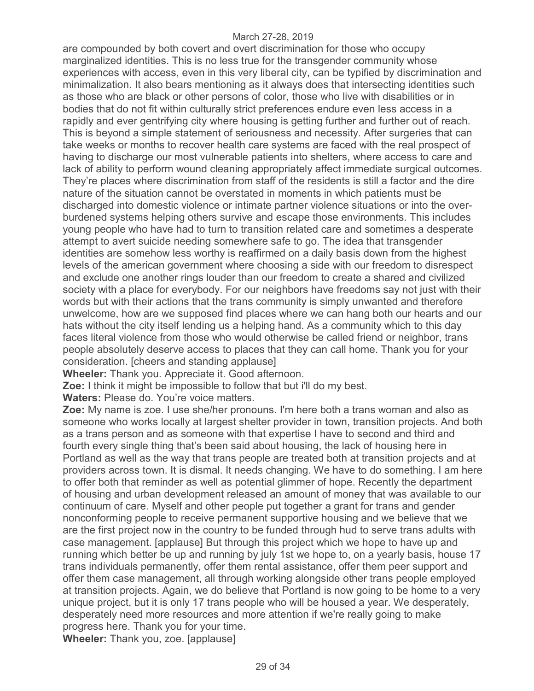are compounded by both covert and overt discrimination for those who occupy marginalized identities. This is no less true for the transgender community whose experiences with access, even in this very liberal city, can be typified by discrimination and minimalization. It also bears mentioning as it always does that intersecting identities such as those who are black or other persons of color, those who live with disabilities or in bodies that do not fit within culturally strict preferences endure even less access in a rapidly and ever gentrifying city where housing is getting further and further out of reach. This is beyond a simple statement of seriousness and necessity. After surgeries that can take weeks or months to recover health care systems are faced with the real prospect of having to discharge our most vulnerable patients into shelters, where access to care and lack of ability to perform wound cleaning appropriately affect immediate surgical outcomes. They're places where discrimination from staff of the residents is still a factor and the dire nature of the situation cannot be overstated in moments in which patients must be discharged into domestic violence or intimate partner violence situations or into the overburdened systems helping others survive and escape those environments. This includes young people who have had to turn to transition related care and sometimes a desperate attempt to avert suicide needing somewhere safe to go. The idea that transgender identities are somehow less worthy is reaffirmed on a daily basis down from the highest levels of the american government where choosing a side with our freedom to disrespect and exclude one another rings louder than our freedom to create a shared and civilized society with a place for everybody. For our neighbors have freedoms say not just with their words but with their actions that the trans community is simply unwanted and therefore unwelcome, how are we supposed find places where we can hang both our hearts and our hats without the city itself lending us a helping hand. As a community which to this day faces literal violence from those who would otherwise be called friend or neighbor, trans people absolutely deserve access to places that they can call home. Thank you for your consideration. [cheers and standing applause]

**Wheeler:** Thank you. Appreciate it. Good afternoon.

**Zoe:** I think it might be impossible to follow that but i'll do my best.

**Waters:** Please do. You're voice matters.

**Zoe:** My name is zoe. I use she/her pronouns. I'm here both a trans woman and also as someone who works locally at largest shelter provider in town, transition projects. And both as a trans person and as someone with that expertise I have to second and third and fourth every single thing that's been said about housing, the lack of housing here in Portland as well as the way that trans people are treated both at transition projects and at providers across town. It is dismal. It needs changing. We have to do something. I am here to offer both that reminder as well as potential glimmer of hope. Recently the department of housing and urban development released an amount of money that was available to our continuum of care. Myself and other people put together a grant for trans and gender nonconforming people to receive permanent supportive housing and we believe that we are the first project now in the country to be funded through hud to serve trans adults with case management. [applause] But through this project which we hope to have up and running which better be up and running by july 1st we hope to, on a yearly basis, house 17 trans individuals permanently, offer them rental assistance, offer them peer support and offer them case management, all through working alongside other trans people employed at transition projects. Again, we do believe that Portland is now going to be home to a very unique project, but it is only 17 trans people who will be housed a year. We desperately, desperately need more resources and more attention if we're really going to make progress here. Thank you for your time.

**Wheeler:** Thank you, zoe. [applause]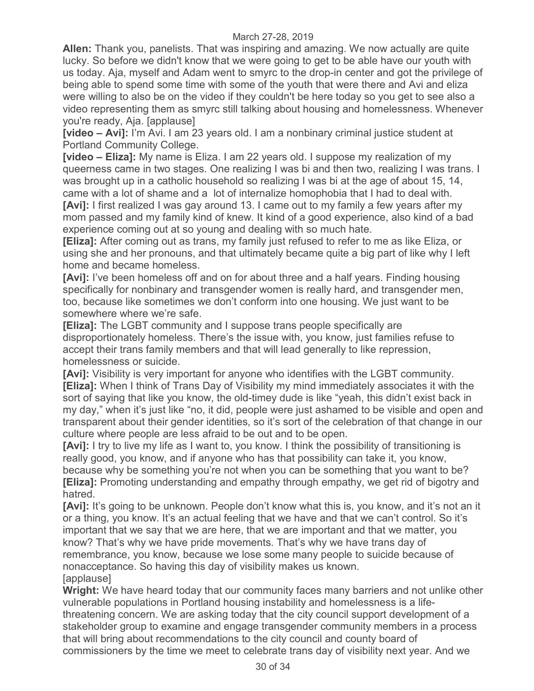**Allen:** Thank you, panelists. That was inspiring and amazing. We now actually are quite lucky. So before we didn't know that we were going to get to be able have our youth with us today. Aja, myself and Adam went to smyrc to the drop-in center and got the privilege of being able to spend some time with some of the youth that were there and Avi and eliza were willing to also be on the video if they couldn't be here today so you get to see also a video representing them as smyrc still talking about housing and homelessness. Whenever you're ready, Aja. [applause]

**[video – Avi]:** I'm Avi. I am 23 years old. I am a nonbinary criminal justice student at Portland Community College.

**[video – Eliza]:** My name is Eliza. I am 22 years old. I suppose my realization of my queerness came in two stages. One realizing I was bi and then two, realizing I was trans. I was brought up in a catholic household so realizing I was bi at the age of about 15, 14, came with a lot of shame and a lot of internalize homophobia that I had to deal with.

**[Avi]:** I first realized I was gay around 13. I came out to my family a few years after my mom passed and my family kind of knew. It kind of a good experience, also kind of a bad experience coming out at so young and dealing with so much hate.

**[Eliza]:** After coming out as trans, my family just refused to refer to me as like Eliza, or using she and her pronouns, and that ultimately became quite a big part of like why I left home and became homeless.

**[Avi]:** I've been homeless off and on for about three and a half years. Finding housing specifically for nonbinary and transgender women is really hard, and transgender men, too, because like sometimes we don't conform into one housing. We just want to be somewhere where we're safe.

**[Eliza]:** The LGBT community and I suppose trans people specifically are disproportionately homeless. There's the issue with, you know, just families refuse to accept their trans family members and that will lead generally to like repression, homelessness or suicide.

**[Avi]:** Visibility is very important for anyone who identifies with the LGBT community. **[Eliza]:** When I think of Trans Day of Visibility my mind immediately associates it with the sort of saying that like you know, the old-timey dude is like "yeah, this didn't exist back in my day," when it's just like "no, it did, people were just ashamed to be visible and open and transparent about their gender identities, so it's sort of the celebration of that change in our culture where people are less afraid to be out and to be open.

**[Avi]:** I try to live my life as I want to, you know. I think the possibility of transitioning is really good, you know, and if anyone who has that possibility can take it, you know, because why be something you're not when you can be something that you want to be? **[Eliza]:** Promoting understanding and empathy through empathy, we get rid of bigotry and hatred.

**[Avi]:** It's going to be unknown. People don't know what this is, you know, and it's not an it or a thing, you know. It's an actual feeling that we have and that we can't control. So it's important that we say that we are here, that we are important and that we matter, you know? That's why we have pride movements. That's why we have trans day of remembrance, you know, because we lose some many people to suicide because of nonacceptance. So having this day of visibility makes us known. [applause]

**Wright:** We have heard today that our community faces many barriers and not unlike other vulnerable populations in Portland housing instability and homelessness is a lifethreatening concern. We are asking today that the city council support development of a stakeholder group to examine and engage transgender community members in a process that will bring about recommendations to the city council and county board of commissioners by the time we meet to celebrate trans day of visibility next year. And we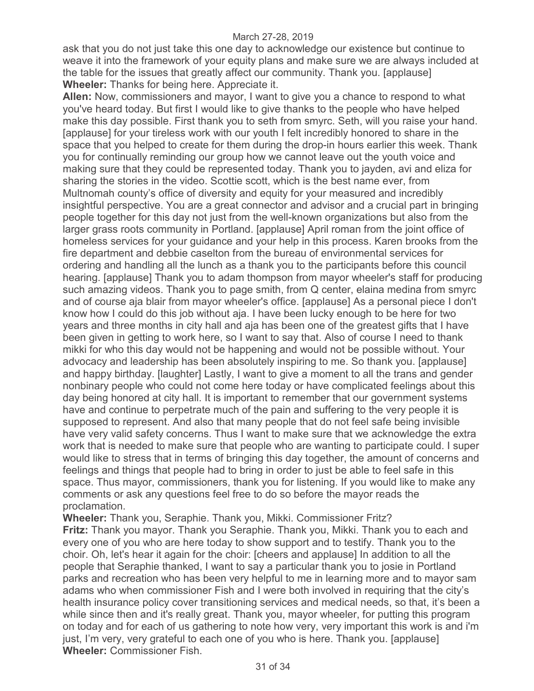ask that you do not just take this one day to acknowledge our existence but continue to weave it into the framework of your equity plans and make sure we are always included at the table for the issues that greatly affect our community. Thank you. [applause] **Wheeler:** Thanks for being here. Appreciate it.

**Allen:** Now, commissioners and mayor, I want to give you a chance to respond to what you've heard today. But first I would like to give thanks to the people who have helped make this day possible. First thank you to seth from smyrc. Seth, will you raise your hand. [applause] for your tireless work with our youth I felt incredibly honored to share in the space that you helped to create for them during the drop-in hours earlier this week. Thank you for continually reminding our group how we cannot leave out the youth voice and making sure that they could be represented today. Thank you to jayden, avi and eliza for sharing the stories in the video. Scottie scott, which is the best name ever, from Multnomah county's office of diversity and equity for your measured and incredibly insightful perspective. You are a great connector and advisor and a crucial part in bringing people together for this day not just from the well-known organizations but also from the larger grass roots community in Portland. [applause] April roman from the joint office of homeless services for your guidance and your help in this process. Karen brooks from the fire department and debbie caselton from the bureau of environmental services for ordering and handling all the lunch as a thank you to the participants before this council hearing. [applause] Thank you to adam thompson from mayor wheeler's staff for producing such amazing videos. Thank you to page smith, from Q center, elaina medina from smyrc and of course aja blair from mayor wheeler's office. [applause] As a personal piece I don't know how I could do this job without aja. I have been lucky enough to be here for two years and three months in city hall and aja has been one of the greatest gifts that I have been given in getting to work here, so I want to say that. Also of course I need to thank mikki for who this day would not be happening and would not be possible without. Your advocacy and leadership has been absolutely inspiring to me. So thank you. [applause] and happy birthday. [laughter] Lastly, I want to give a moment to all the trans and gender nonbinary people who could not come here today or have complicated feelings about this day being honored at city hall. It is important to remember that our government systems have and continue to perpetrate much of the pain and suffering to the very people it is supposed to represent. And also that many people that do not feel safe being invisible have very valid safety concerns. Thus I want to make sure that we acknowledge the extra work that is needed to make sure that people who are wanting to participate could. I super would like to stress that in terms of bringing this day together, the amount of concerns and feelings and things that people had to bring in order to just be able to feel safe in this space. Thus mayor, commissioners, thank you for listening. If you would like to make any comments or ask any questions feel free to do so before the mayor reads the proclamation.

**Wheeler:** Thank you, Seraphie. Thank you, Mikki. Commissioner Fritz? **Fritz:** Thank you mayor. Thank you Seraphie. Thank you, Mikki. Thank you to each and every one of you who are here today to show support and to testify. Thank you to the choir. Oh, let's hear it again for the choir: [cheers and applause] In addition to all the people that Seraphie thanked, I want to say a particular thank you to josie in Portland parks and recreation who has been very helpful to me in learning more and to mayor sam adams who when commissioner Fish and I were both involved in requiring that the city's health insurance policy cover transitioning services and medical needs, so that, it's been a while since then and it's really great. Thank you, mayor wheeler, for putting this program on today and for each of us gathering to note how very, very important this work is and i'm just, I'm very, very grateful to each one of you who is here. Thank you. [applause] **Wheeler:** Commissioner Fish.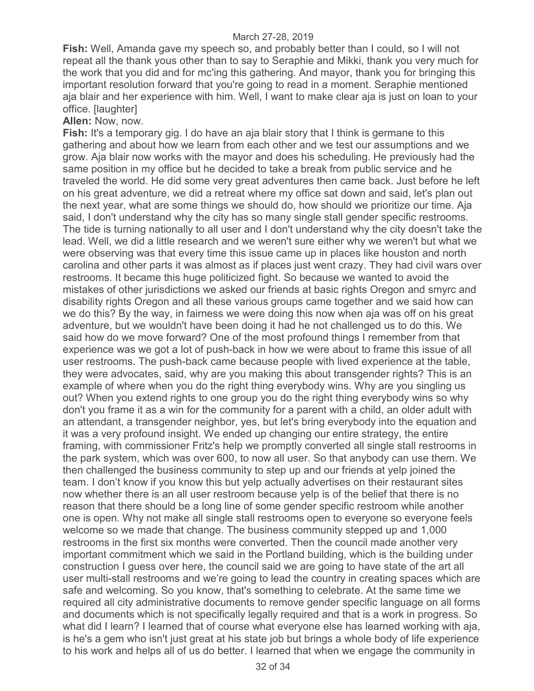**Fish:** Well, Amanda gave my speech so, and probably better than I could, so I will not repeat all the thank yous other than to say to Seraphie and Mikki, thank you very much for the work that you did and for mc'ing this gathering. And mayor, thank you for bringing this important resolution forward that you're going to read in a moment. Seraphie mentioned aja blair and her experience with him. Well, I want to make clear aja is just on loan to your office. [laughter]

#### **Allen:** Now, now.

**Fish:** It's a temporary gig. I do have an aja blair story that I think is germane to this gathering and about how we learn from each other and we test our assumptions and we grow. Aja blair now works with the mayor and does his scheduling. He previously had the same position in my office but he decided to take a break from public service and he traveled the world. He did some very great adventures then came back. Just before he left on his great adventure, we did a retreat where my office sat down and said, let's plan out the next year, what are some things we should do, how should we prioritize our time. Aja said, I don't understand why the city has so many single stall gender specific restrooms. The tide is turning nationally to all user and I don't understand why the city doesn't take the lead. Well, we did a little research and we weren't sure either why we weren't but what we were observing was that every time this issue came up in places like houston and north carolina and other parts it was almost as if places just went crazy. They had civil wars over restrooms. It became this huge politicized fight. So because we wanted to avoid the mistakes of other jurisdictions we asked our friends at basic rights Oregon and smyrc and disability rights Oregon and all these various groups came together and we said how can we do this? By the way, in fairness we were doing this now when aja was off on his great adventure, but we wouldn't have been doing it had he not challenged us to do this. We said how do we move forward? One of the most profound things I remember from that experience was we got a lot of push-back in how we were about to frame this issue of all user restrooms. The push-back came because people with lived experience at the table, they were advocates, said, why are you making this about transgender rights? This is an example of where when you do the right thing everybody wins. Why are you singling us out? When you extend rights to one group you do the right thing everybody wins so why don't you frame it as a win for the community for a parent with a child, an older adult with an attendant, a transgender neighbor, yes, but let's bring everybody into the equation and it was a very profound insight. We ended up changing our entire strategy, the entire framing, with commissioner Fritz's help we promptly converted all single stall restrooms in the park system, which was over 600, to now all user. So that anybody can use them. We then challenged the business community to step up and our friends at yelp joined the team. I don't know if you know this but yelp actually advertises on their restaurant sites now whether there is an all user restroom because yelp is of the belief that there is no reason that there should be a long line of some gender specific restroom while another one is open. Why not make all single stall restrooms open to everyone so everyone feels welcome so we made that change. The business community stepped up and 1,000 restrooms in the first six months were converted. Then the council made another very important commitment which we said in the Portland building, which is the building under construction I guess over here, the council said we are going to have state of the art all user multi-stall restrooms and we're going to lead the country in creating spaces which are safe and welcoming. So you know, that's something to celebrate. At the same time we required all city administrative documents to remove gender specific language on all forms and documents which is not specifically legally required and that is a work in progress. So what did I learn? I learned that of course what everyone else has learned working with aja, is he's a gem who isn't just great at his state job but brings a whole body of life experience to his work and helps all of us do better. I learned that when we engage the community in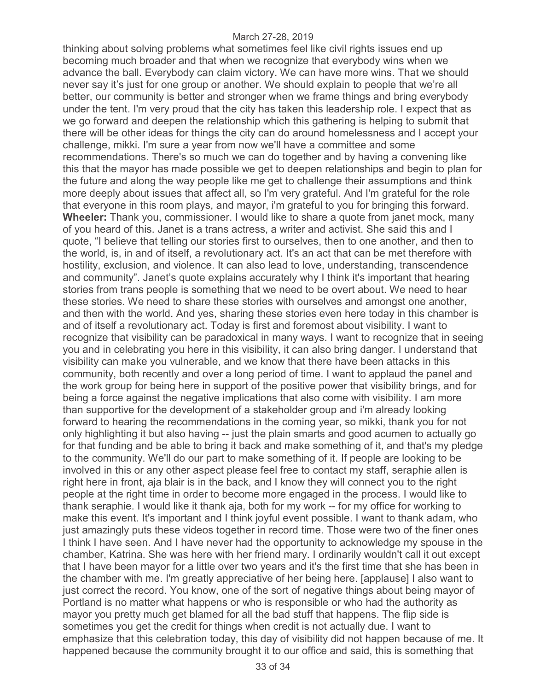thinking about solving problems what sometimes feel like civil rights issues end up becoming much broader and that when we recognize that everybody wins when we advance the ball. Everybody can claim victory. We can have more wins. That we should never say it's just for one group or another. We should explain to people that we're all better, our community is better and stronger when we frame things and bring everybody under the tent. I'm very proud that the city has taken this leadership role. I expect that as we go forward and deepen the relationship which this gathering is helping to submit that there will be other ideas for things the city can do around homelessness and I accept your challenge, mikki. I'm sure a year from now we'll have a committee and some recommendations. There's so much we can do together and by having a convening like this that the mayor has made possible we get to deepen relationships and begin to plan for the future and along the way people like me get to challenge their assumptions and think more deeply about issues that affect all, so I'm very grateful. And I'm grateful for the role that everyone in this room plays, and mayor, i'm grateful to you for bringing this forward. **Wheeler:** Thank you, commissioner. I would like to share a quote from janet mock, many of you heard of this. Janet is a trans actress, a writer and activist. She said this and I quote, "I believe that telling our stories first to ourselves, then to one another, and then to the world, is, in and of itself, a revolutionary act. It's an act that can be met therefore with hostility, exclusion, and violence. It can also lead to love, understanding, transcendence and community". Janet's quote explains accurately why I think it's important that hearing stories from trans people is something that we need to be overt about. We need to hear these stories. We need to share these stories with ourselves and amongst one another, and then with the world. And yes, sharing these stories even here today in this chamber is and of itself a revolutionary act. Today is first and foremost about visibility. I want to recognize that visibility can be paradoxical in many ways. I want to recognize that in seeing you and in celebrating you here in this visibility, it can also bring danger. I understand that visibility can make you vulnerable, and we know that there have been attacks in this community, both recently and over a long period of time. I want to applaud the panel and the work group for being here in support of the positive power that visibility brings, and for being a force against the negative implications that also come with visibility. I am more than supportive for the development of a stakeholder group and i'm already looking forward to hearing the recommendations in the coming year, so mikki, thank you for not only highlighting it but also having -- just the plain smarts and good acumen to actually go for that funding and be able to bring it back and make something of it, and that's my pledge to the community. We'll do our part to make something of it. If people are looking to be involved in this or any other aspect please feel free to contact my staff, seraphie allen is right here in front, aja blair is in the back, and I know they will connect you to the right people at the right time in order to become more engaged in the process. I would like to thank seraphie. I would like it thank aja, both for my work -- for my office for working to make this event. It's important and I think joyful event possible. I want to thank adam, who just amazingly puts these videos together in record time. Those were two of the finer ones I think I have seen. And I have never had the opportunity to acknowledge my spouse in the chamber, Katrina. She was here with her friend mary. I ordinarily wouldn't call it out except that I have been mayor for a little over two years and it's the first time that she has been in the chamber with me. I'm greatly appreciative of her being here. [applause] I also want to just correct the record. You know, one of the sort of negative things about being mayor of Portland is no matter what happens or who is responsible or who had the authority as mayor you pretty much get blamed for all the bad stuff that happens. The flip side is sometimes you get the credit for things when credit is not actually due. I want to emphasize that this celebration today, this day of visibility did not happen because of me. It happened because the community brought it to our office and said, this is something that